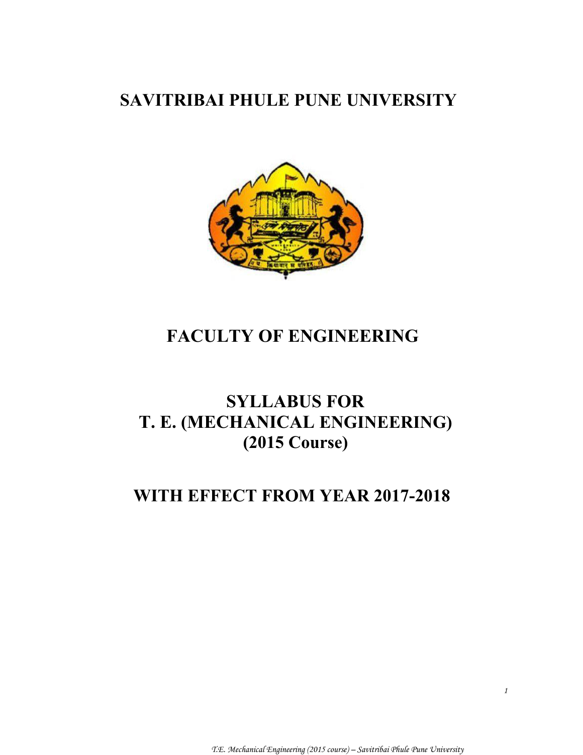# **SAVITRIBAI PHULE PUNE UNIVERSITY**



# **FACULTY OF ENGINEERING**

# **SYLLABUS FOR T. E. (MECHANICAL ENGINEERING) (2015 Course)**

# **WITH EFFECT FROM YEAR 2017-2018**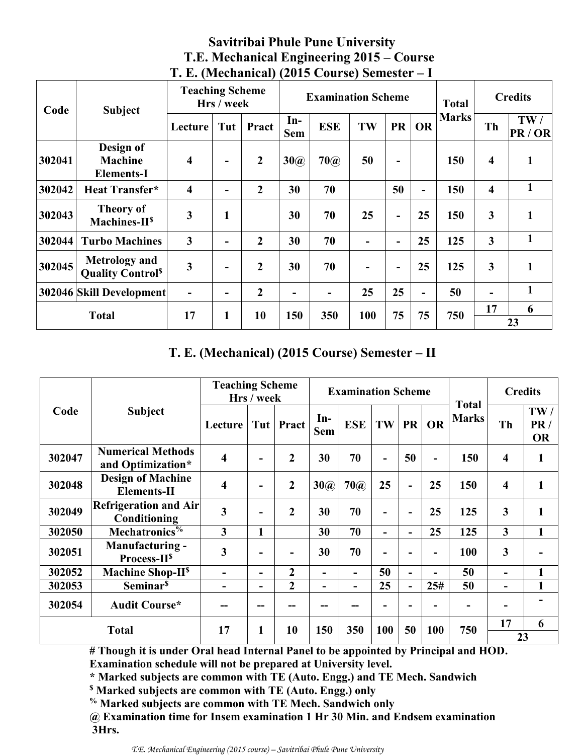|        | Code<br><b>Subject</b>                                      |                         | <b>Teaching Scheme</b><br>Hrs / week |                | <b>Examination Scheme</b> |                          |     |                          | <b>Total</b> |              | <b>Credits</b>          |              |
|--------|-------------------------------------------------------------|-------------------------|--------------------------------------|----------------|---------------------------|--------------------------|-----|--------------------------|--------------|--------------|-------------------------|--------------|
|        |                                                             | Lecture                 | Tut                                  | Pract          | $In-$<br><b>Sem</b>       | <b>ESE</b>               | TW  | <b>PR</b>                | <b>OR</b>    | <b>Marks</b> | Th                      | TW/<br>PR/OR |
| 302041 | Design of<br><b>Machine</b><br><b>Elements-I</b>            | $\overline{\mathbf{4}}$ | $\overline{\phantom{a}}$             | $\overline{2}$ | 30(a)                     | $70$ $\omega$            | 50  | $\overline{\phantom{a}}$ |              | 150          | $\overline{4}$          | $\mathbf{1}$ |
| 302042 | <b>Heat Transfer*</b>                                       | $\overline{\mathbf{4}}$ | $\overline{\phantom{a}}$             | $\overline{2}$ | 30                        | 70                       |     | 50                       | -            | 150          | $\overline{\mathbf{4}}$ | $\mathbf{1}$ |
| 302043 | <b>Theory of</b><br>$Machines-IIs$                          | 3                       | 1                                    |                | 30                        | 70                       | 25  | $\overline{\phantom{a}}$ | 25           | 150          | $\mathbf{3}$            | $\mathbf{1}$ |
| 302044 | <b>Turbo Machines</b>                                       | $\overline{\mathbf{3}}$ | -                                    | $\overline{2}$ | 30                        | 70                       |     | $\overline{\phantom{a}}$ | 25           | 125          | $\overline{\mathbf{3}}$ | $\mathbf{1}$ |
| 302045 | <b>Metrology</b> and<br><b>Quality Control</b> <sup>§</sup> | 3                       | $\overline{\phantom{0}}$             | $\overline{2}$ | 30                        | 70                       | -   | $\overline{\phantom{a}}$ | 25           | 125          | $\overline{\mathbf{3}}$ | $\mathbf{1}$ |
|        | 302046 Skill Development                                    | ۰                       | $\overline{\phantom{0}}$             | $\overline{2}$ | $\overline{\phantom{a}}$  | $\overline{\phantom{a}}$ | 25  | 25                       | -            | 50           |                         | 1            |
|        | <b>Total</b>                                                | 17                      | 1                                    | 10             | 150                       | 350                      | 100 | 75                       | 75           | 750          | 17                      | 6            |
|        |                                                             |                         |                                      |                |                           |                          |     |                          |              |              |                         | 23           |

# **Savitribai Phule Pune University T.E. Mechanical Engineering 2015 – Course T. E. (Mechanical) (2015 Course) Semester – I**

# **T. E. (Mechanical) (2015 Course) Semester – II**

|              | <b>Teaching Scheme</b><br>Hrs / week               |                         | <b>Examination Scheme</b> |                |                          |                |                          | <b>Credits</b>           |                |                              |                         |                         |
|--------------|----------------------------------------------------|-------------------------|---------------------------|----------------|--------------------------|----------------|--------------------------|--------------------------|----------------|------------------------------|-------------------------|-------------------------|
| Code         | <b>Subject</b>                                     | Lecture                 |                           | Tut   Pract    | $In-$<br><b>Sem</b>      | <b>ESE</b>     | TW                       | <b>PR</b>                | <b>OR</b>      | <b>Total</b><br><b>Marks</b> | Th                      | TW/<br>PR/<br><b>OR</b> |
| 302047       | <b>Numerical Methods</b><br>and Optimization*      | $\overline{\mathbf{4}}$ | -                         | $\mathbf 2$    | 30                       | 70             | $\blacksquare$           | 50                       | $\blacksquare$ | 150                          | 4                       | 1                       |
| 302048       | <b>Design of Machine</b><br><b>Elements-II</b>     | $\overline{\mathbf{4}}$ | $\overline{\phantom{0}}$  | $\overline{2}$ | 30(a)                    | $70$ $\omega$  | 25                       | $\blacksquare$           | 25             | 150                          | $\overline{\mathbf{4}}$ | 1                       |
| 302049       | <b>Refrigeration and Air</b><br>Conditioning       | $\mathbf{3}$            | -                         | $\overline{2}$ | 30                       | 70             | -                        | $\overline{\phantom{a}}$ | 25             | 125                          | 3                       | 1                       |
| 302050       | Mechatronics <sup>%</sup>                          | $\mathbf{3}$            | 1                         |                | 30                       | 70             | $\overline{\phantom{0}}$ | $\blacksquare$           | 25             | 125                          | 3                       | 1                       |
| 302051       | <b>Manufacturing -</b><br>Process-II <sup>\$</sup> | $\mathbf{3}$            | $\overline{\phantom{0}}$  | ۰              | 30                       | 70             |                          | $\overline{\phantom{0}}$ |                | 100                          | 3                       |                         |
| 302052       | Machine Shop-II <sup>\$</sup>                      | ۰                       | -                         | $\overline{2}$ | $\overline{\phantom{0}}$ | -              | 50                       | $\overline{\phantom{a}}$ |                | 50                           | -                       | 1                       |
| 302053       | Seminar <sup>\$</sup>                              | ۰                       | -                         | $\overline{2}$ | ۳                        | $\blacksquare$ | 25                       | $\qquad \qquad -$        | 25#            | 50                           |                         | 1                       |
| 302054       | <b>Audit Course*</b>                               |                         |                           |                |                          |                |                          |                          |                |                              |                         |                         |
|              |                                                    | 17                      | 1                         | 10             |                          |                | <b>100</b>               |                          |                |                              | 17                      | 6                       |
| <b>Total</b> |                                                    |                         |                           |                |                          | 150<br>350     |                          | 50                       | 100            | 750                          | 23                      |                         |

**# Though it is under Oral head Internal Panel to be appointed by Principal and HOD.** 

**Examination schedule will not be prepared at University level.** 

**\* Marked subjects are common with TE (Auto. Engg.) and TE Mech. Sandwich** 

**\$ Marked subjects are common with TE (Auto. Engg.) only**

**% Marked subjects are common with TE Mech. Sandwich only** 

**@ Examination time for Insem examination 1 Hr 30 Min. and Endsem examination 3Hrs.**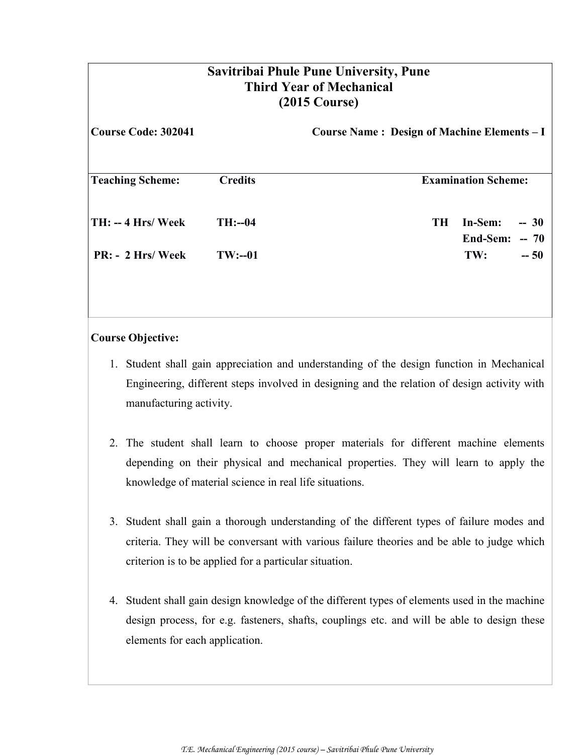| <b>Savitribai Phule Pune University, Pune</b><br><b>Third Year of Mechanical</b><br>$(2015 \text{ Course})$ |                |                                             |                                       |  |  |  |
|-------------------------------------------------------------------------------------------------------------|----------------|---------------------------------------------|---------------------------------------|--|--|--|
| <b>Course Code: 302041</b>                                                                                  |                | Course Name: Design of Machine Elements - I |                                       |  |  |  |
| <b>Teaching Scheme:</b>                                                                                     | <b>Credits</b> |                                             | <b>Examination Scheme:</b>            |  |  |  |
| $TH: -4 Hrs/Week$                                                                                           | $TH: -04$      | <b>TH</b>                                   | In-Sem:<br>$-30$<br>End-Sem:<br>$-70$ |  |  |  |
| $PR: - 2 Hrs / \text{Week}$                                                                                 | $TW: -01$      |                                             | TW:<br>$-50$                          |  |  |  |

### **Course Objective:**

- 1. Student shall gain appreciation and understanding of the design function in Mechanical Engineering, different steps involved in designing and the relation of design activity with manufacturing activity.
- 2. The student shall learn to choose proper materials for different machine elements depending on their physical and mechanical properties. They will learn to apply the knowledge of material science in real life situations.
- 3. Student shall gain a thorough understanding of the different types of failure modes and criteria. They will be conversant with various failure theories and be able to judge which criterion is to be applied for a particular situation.
- 4. Student shall gain design knowledge of the different types of elements used in the machine design process, for e.g. fasteners, shafts, couplings etc. and will be able to design these elements for each application.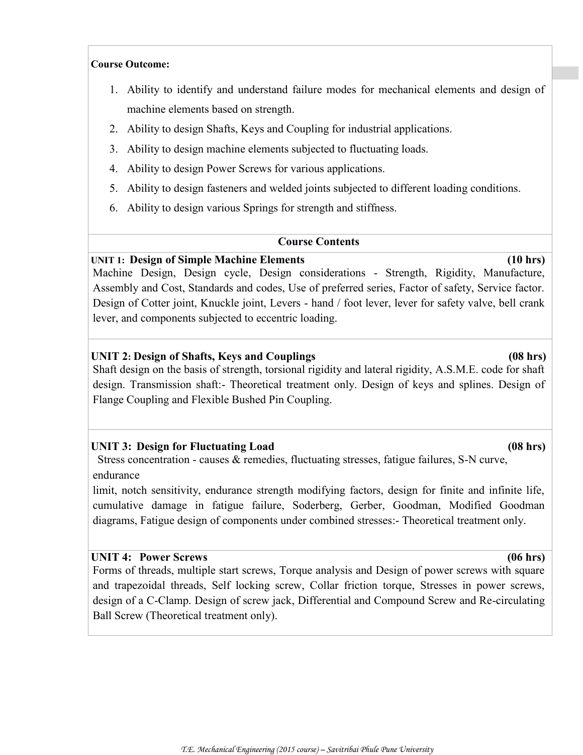#### **Course Outcome:**

- 1. Ability to identify and understand failure modes for mechanical elements and design of machine elements based on strength.
- 2. Ability to design Shafts, Keys and Coupling for industrial applications.
- 3. Ability to design machine elements subjected to fluctuating loads.
- 4. Ability to design Power Screws for various applications.
- 5. Ability to design fasteners and welded joints subjected to different loading conditions.
- 6. Ability to design various Springs for strength and stiffness.

#### **Course Contents**

#### **UNIT 1: Design of Simple Machine Elements (10 hrs)**

Machine Design, Design cycle, Design considerations - Strength, Rigidity, Manufacture, Assembly and Cost, Standards and codes, Use of preferred series, Factor of safety, Service factor. Design of Cotter joint, Knuckle joint, Levers - hand / foot lever, lever for safety valve, bell crank lever, and components subjected to eccentric loading.

### **UNIT 2: Design of Shafts, Keys and Couplings (08 hrs)**

Shaft design on the basis of strength, torsional rigidity and lateral rigidity, A.S.M.E. code for shaft design. Transmission shaft:- Theoretical treatment only. Design of keys and splines. Design of Flange Coupling and Flexible Bushed Pin Coupling.

#### **UNIT 3: Design for Fluctuating Load (08 hrs)**

Stress concentration - causes & remedies, fluctuating stresses, fatigue failures, S-N curve, endurance

limit, notch sensitivity, endurance strength modifying factors, design for finite and infinite life, cumulative damage in fatigue failure, Soderberg, Gerber, Goodman, Modified Goodman diagrams, Fatigue design of components under combined stresses:- Theoretical treatment only.

#### **UNIT 4: Power Screws (06 hrs)**

Forms of threads, multiple start screws, Torque analysis and Design of power screws with square and trapezoidal threads, Self locking screw, Collar friction torque, Stresses in power screws, design of a C-Clamp. Design of screw jack, Differential and Compound Screw and Re-circulating Ball Screw (Theoretical treatment only).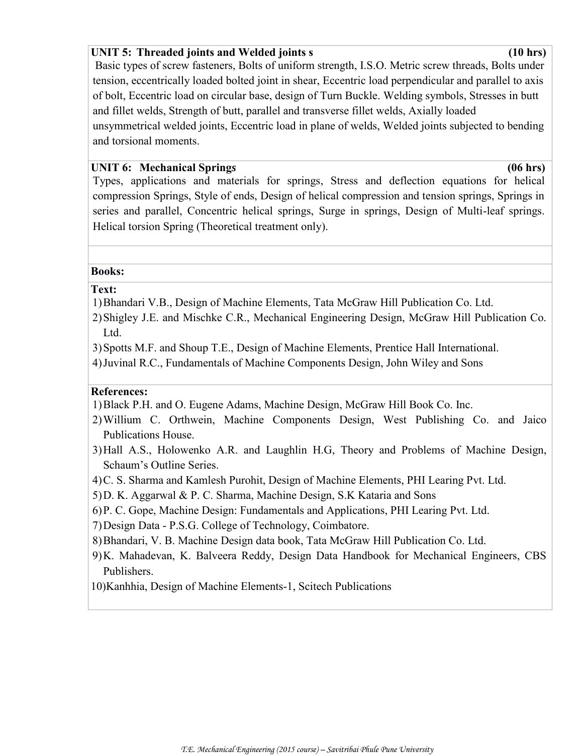#### **UNIT 5: Threaded joints and Welded joints s (10 hrs)**

Basic types of screw fasteners, Bolts of uniform strength, I.S.O. Metric screw threads, Bolts under tension, eccentrically loaded bolted joint in shear, Eccentric load perpendicular and parallel to axis of bolt, Eccentric load on circular base, design of Turn Buckle. Welding symbols, Stresses in butt and fillet welds, Strength of butt, parallel and transverse fillet welds, Axially loaded unsymmetrical welded joints, Eccentric load in plane of welds, Welded joints subjected to bending and torsional moments.

#### **UNIT 6: Mechanical Spring***s* **(06 hrs)**

Types, applications and materials for springs, Stress and deflection equations for helical compression Springs, Style of ends, Design of helical compression and tension springs, Springs in series and parallel, Concentric helical springs, Surge in springs, Design of Multi-leaf springs. Helical torsion Spring (Theoretical treatment only).

#### **Books:**

#### **Text:**

- 1)Bhandari V.B., Design of Machine Elements, Tata McGraw Hill Publication Co. Ltd.
- 2)Shigley J.E. and Mischke C.R., Mechanical Engineering Design, McGraw Hill Publication Co. Ltd.
- 3)Spotts M.F. and Shoup T.E., Design of Machine Elements, Prentice Hall International.
- 4)Juvinal R.C., Fundamentals of Machine Components Design, John Wiley and Sons

#### **References:**

- 1)Black P.H. and O. Eugene Adams, Machine Design, McGraw Hill Book Co. Inc.
- 2)Willium C. Orthwein, Machine Components Design, West Publishing Co. and Jaico Publications House.
- 3)Hall A.S., Holowenko A.R. and Laughlin H.G, Theory and Problems of Machine Design, Schaum's Outline Series.
- 4)C. S. Sharma and Kamlesh Purohit, Design of Machine Elements, PHI Learing Pvt. Ltd.
- 5)D. K. Aggarwal & P. C. Sharma, Machine Design, S.K Kataria and Sons
- 6)P. C. Gope, Machine Design: Fundamentals and Applications, PHI Learing Pvt. Ltd.
- 7)Design Data P.S.G. College of Technology, Coimbatore.
- 8)Bhandari, V. B. Machine Design data book, Tata McGraw Hill Publication Co. Ltd.
- 9)K. Mahadevan, K. Balveera Reddy, Design Data Handbook for Mechanical Engineers, CBS Publishers.
- 10)Kanhhia, Design of Machine Elements-1, Scitech Publications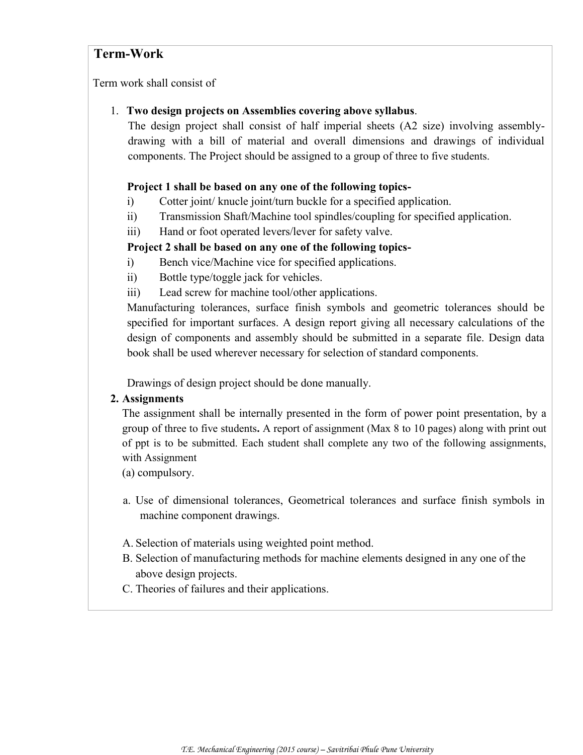# **Term-Work**

Term work shall consist of

#### 1. **Two design projects on Assemblies covering above syllabus**.

The design project shall consist of half imperial sheets (A2 size) involving assemblydrawing with a bill of material and overall dimensions and drawings of individual components. The Project should be assigned to a group of three to five students.

### **Project 1 shall be based on any one of the following topics-**

- i) Cotter joint/ knucle joint/turn buckle for a specified application.
- ii) Transmission Shaft/Machine tool spindles/coupling for specified application.
- iii) Hand or foot operated levers/lever for safety valve.

# **Project 2 shall be based on any one of the following topics-**

- i) Bench vice/Machine vice for specified applications.
- ii) Bottle type/toggle jack for vehicles.
- iii) Lead screw for machine tool/other applications.

Manufacturing tolerances, surface finish symbols and geometric tolerances should be specified for important surfaces. A design report giving all necessary calculations of the design of components and assembly should be submitted in a separate file. Design data book shall be used wherever necessary for selection of standard components.

Drawings of design project should be done manually.

#### **2. Assignments**

The assignment shall be internally presented in the form of power point presentation, by a group of three to five students**.** A report of assignment (Max 8 to 10 pages) along with print out of ppt is to be submitted. Each student shall complete any two of the following assignments, with Assignment

(a) compulsory.

- a. Use of dimensional tolerances, Geometrical tolerances and surface finish symbols in machine component drawings.
- A. Selection of materials using weighted point method.
- B. Selection of manufacturing methods for machine elements designed in any one of the above design projects.
- C. Theories of failures and their applications.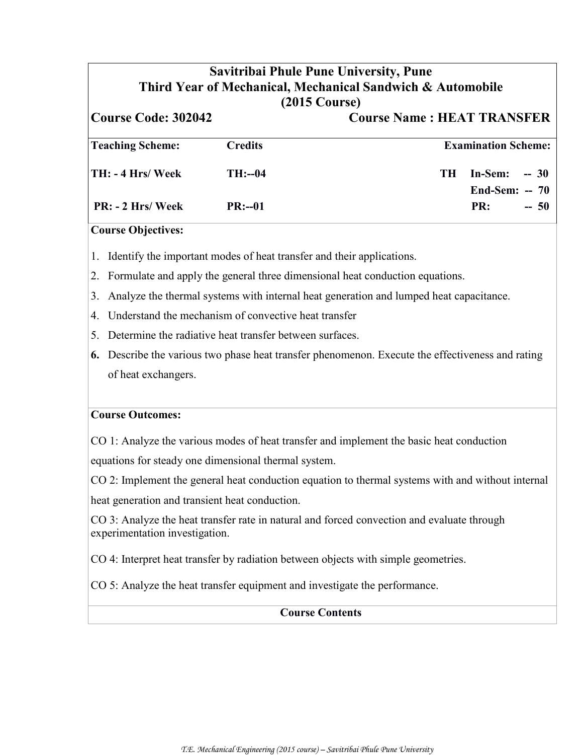# **Savitribai Phule Pune University, Pune Third Year of Mechanical, Mechanical Sandwich & Automobile (2015 Course) Course Code: 302042 Course Name : HEAT TRANSFER Teaching Scheme: Credits Examination Scheme: TH: - 4 Hrs/ Week TH:--04 TH In-Sem: -- 30 End-Sem: -- 70 PR: - 2 Hrs/ Week PR:--01 PR: -- 50 Course Objectives:** 1. Identify the important modes of heat transfer and their applications. 2. Formulate and apply the general three dimensional heat conduction equations. 3. Analyze the thermal systems with internal heat generation and lumped heat capacitance. 4. Understand the mechanism of convective heat transfer 5. Determine the radiative heat transfer between surfaces. **6.** Describe the various two phase heat transfer phenomenon. Execute the effectiveness and rating

of heat exchangers.

#### **Course Outcomes:**

CO 1: Analyze the various modes of heat transfer and implement the basic heat conduction

equations for steady one dimensional thermal system.

CO 2: Implement the general heat conduction equation to thermal systems with and without internal

heat generation and transient heat conduction.

CO 3: Analyze the heat transfer rate in natural and forced convection and evaluate through experimentation investigation.

CO 4: Interpret heat transfer by radiation between objects with simple geometries.

CO 5: Analyze the heat transfer equipment and investigate the performance.

#### **Course Contents**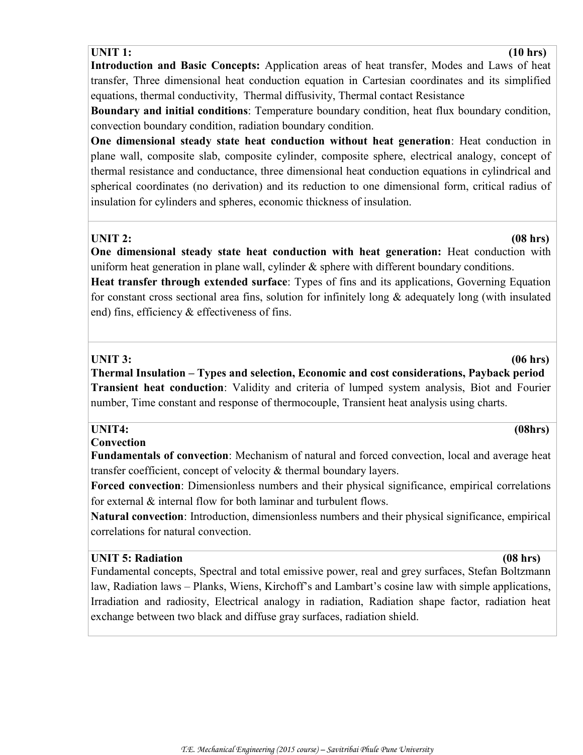#### **UNIT 1: (10 hrs)**

**Introduction and Basic Concepts:** Application areas of heat transfer, Modes and Laws of heat transfer, Three dimensional heat conduction equation in Cartesian coordinates and its simplified equations, thermal conductivity, Thermal diffusivity, Thermal contact Resistance

**Boundary and initial conditions**: Temperature boundary condition, heat flux boundary condition, convection boundary condition, radiation boundary condition.

**One dimensional steady state heat conduction without heat generation**: Heat conduction in plane wall, composite slab, composite cylinder, composite sphere, electrical analogy, concept of thermal resistance and conductance, three dimensional heat conduction equations in cylindrical and spherical coordinates (no derivation) and its reduction to one dimensional form, critical radius of insulation for cylinders and spheres, economic thickness of insulation.

**One dimensional steady state heat conduction with heat generation:** Heat conduction with uniform heat generation in plane wall, cylinder  $\&$  sphere with different boundary conditions.

**Heat transfer through extended surface**: Types of fins and its applications, Governing Equation for constant cross sectional area fins, solution for infinitely long & adequately long (with insulated end) fins, efficiency & effectiveness of fins.

#### **UNIT 3: (06 hrs)**

**Thermal Insulation – Types and selection, Economic and cost considerations, Payback period Transient heat conduction**: Validity and criteria of lumped system analysis, Biot and Fourier number, Time constant and response of thermocouple, Transient heat analysis using charts.

#### **UNIT4: (08hrs)**

#### **Convection**

**Fundamentals of convection**: Mechanism of natural and forced convection, local and average heat transfer coefficient, concept of velocity & thermal boundary layers.

**Forced convection**: Dimensionless numbers and their physical significance, empirical correlations for external & internal flow for both laminar and turbulent flows.

**Natural convection**: Introduction, dimensionless numbers and their physical significance, empirical correlations for natural convection.

#### **UNIT 5: Radiation (08 hrs)**

Fundamental concepts, Spectral and total emissive power, real and grey surfaces, Stefan Boltzmann law, Radiation laws – Planks, Wiens, Kirchoff's and Lambart's cosine law with simple applications, Irradiation and radiosity, Electrical analogy in radiation, Radiation shape factor, radiation heat exchange between two black and diffuse gray surfaces, radiation shield.

#### **UNIT 2: (08 hrs)**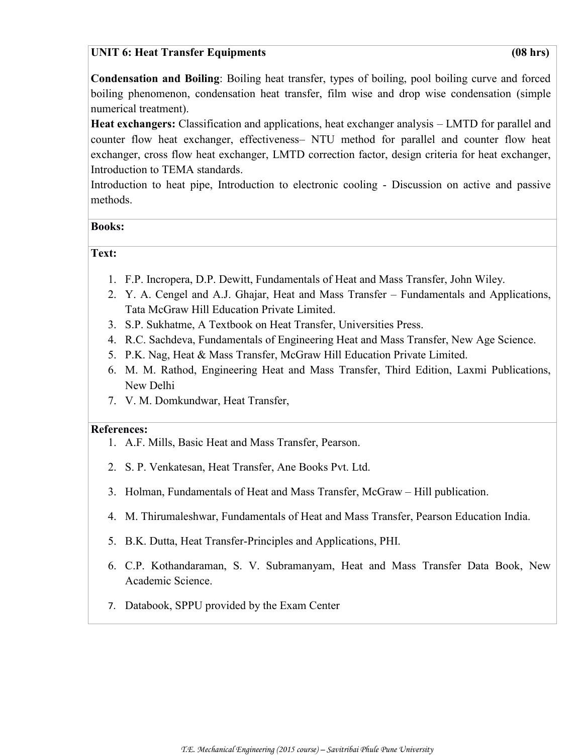### **UNIT 6: Heat Transfer Equipments (08 hrs)**

**Condensation and Boiling**: Boiling heat transfer, types of boiling, pool boiling curve and forced boiling phenomenon, condensation heat transfer, film wise and drop wise condensation (simple numerical treatment).

**Heat exchangers:** Classification and applications, heat exchanger analysis – LMTD for parallel and counter flow heat exchanger, effectiveness– NTU method for parallel and counter flow heat exchanger, cross flow heat exchanger, LMTD correction factor, design criteria for heat exchanger, Introduction to TEMA standards.

Introduction to heat pipe, Introduction to electronic cooling - Discussion on active and passive methods.

#### **Books:**

#### **Text:**

- 1. F.P. Incropera, D.P. Dewitt, Fundamentals of Heat and Mass Transfer, John Wiley.
- 2. Y. A. Cengel and A.J. Ghajar, Heat and Mass Transfer Fundamentals and Applications, Tata McGraw Hill Education Private Limited.
- 3. S.P. Sukhatme, A Textbook on Heat Transfer, Universities Press.
- 4. R.C. Sachdeva, Fundamentals of Engineering Heat and Mass Transfer, New Age Science.
- 5. P.K. Nag, Heat & Mass Transfer, McGraw Hill Education Private Limited.
- 6. M. M. Rathod, Engineering Heat and Mass Transfer, Third Edition, Laxmi Publications, New Delhi
- 7. V. M. Domkundwar, Heat Transfer,

#### **References:**

- 1. A.F. Mills, Basic Heat and Mass Transfer, Pearson.
- 2. S. P. Venkatesan, Heat Transfer, Ane Books Pvt. Ltd.
- 3. Holman, Fundamentals of Heat and Mass Transfer, McGraw Hill publication.
- 4. M. Thirumaleshwar, Fundamentals of Heat and Mass Transfer, Pearson Education India.
- 5. B.K. Dutta, Heat Transfer-Principles and Applications, PHI.
- 6. C.P. Kothandaraman, S. V. Subramanyam, Heat and Mass Transfer Data Book, New Academic Science.
- 7. Databook, SPPU provided by the Exam Center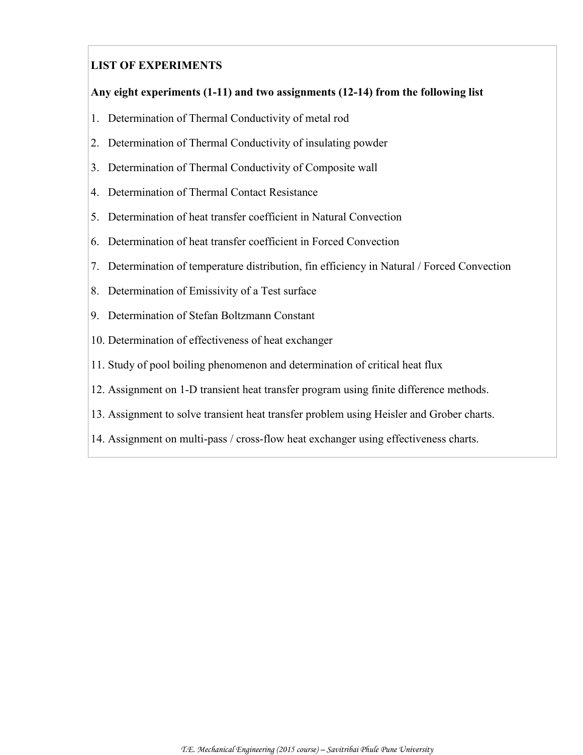# **LIST OF EXPERIMENTS**

### **Any eight experiments (1-11) and two assignments (12-14) from the following list**

- 1. Determination of Thermal Conductivity of metal rod
- 2. Determination of Thermal Conductivity of insulating powder
- 3. Determination of Thermal Conductivity of Composite wall
- 4. Determination of Thermal Contact Resistance
- 5. Determination of heat transfer coefficient in Natural Convection
- 6. Determination of heat transfer coefficient in Forced Convection
- 7. Determination of temperature distribution, fin efficiency in Natural / Forced Convection
- 8. Determination of Emissivity of a Test surface
- 9. Determination of Stefan Boltzmann Constant
- 10. Determination of effectiveness of heat exchanger
- 11. Study of pool boiling phenomenon and determination of critical heat flux
- 12. Assignment on 1-D transient heat transfer program using finite difference methods.
- 13. Assignment to solve transient heat transfer problem using Heisler and Grober charts.
- 14. Assignment on multi-pass / cross-flow heat exchanger using effectiveness charts.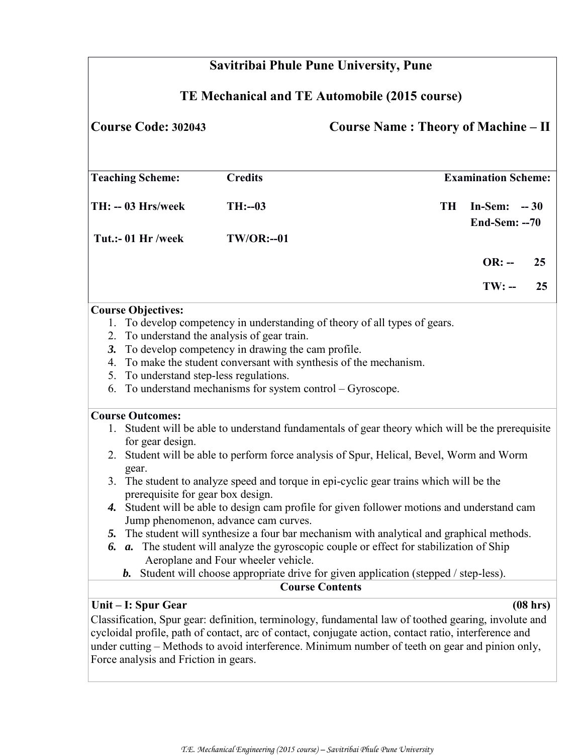|                                               | <b>Savitribai Phule Pune University, Pune</b>                                                                        |                                      |                                                                                                       |    |                                 |          |  |
|-----------------------------------------------|----------------------------------------------------------------------------------------------------------------------|--------------------------------------|-------------------------------------------------------------------------------------------------------|----|---------------------------------|----------|--|
| TE Mechanical and TE Automobile (2015 course) |                                                                                                                      |                                      |                                                                                                       |    |                                 |          |  |
|                                               | <b>Course Code: 302043</b><br><b>Course Name: Theory of Machine – II</b>                                             |                                      |                                                                                                       |    |                                 |          |  |
|                                               | <b>Teaching Scheme:</b>                                                                                              | <b>Credits</b>                       |                                                                                                       |    | <b>Examination Scheme:</b>      |          |  |
|                                               | TH: -- 03 Hrs/week                                                                                                   | $TH: -03$                            |                                                                                                       | TH | In-Sem: $-30$<br>End-Sem: $-70$ |          |  |
|                                               | Tut.:- 01 Hr /week                                                                                                   | <b>TW/OR:--01</b>                    |                                                                                                       |    |                                 |          |  |
|                                               |                                                                                                                      |                                      |                                                                                                       |    | $OR: -$                         | 25       |  |
|                                               |                                                                                                                      |                                      |                                                                                                       |    | $TW: -$                         | 25       |  |
|                                               | <b>Course Objectives:</b>                                                                                            |                                      |                                                                                                       |    |                                 |          |  |
|                                               |                                                                                                                      |                                      | 1. To develop competency in understanding of theory of all types of gears.                            |    |                                 |          |  |
| 2.                                            | To understand the analysis of gear train.                                                                            |                                      |                                                                                                       |    |                                 |          |  |
| 3.                                            |                                                                                                                      |                                      |                                                                                                       |    |                                 |          |  |
| 4.                                            | To develop competency in drawing the cam profile.<br>To make the student conversant with synthesis of the mechanism. |                                      |                                                                                                       |    |                                 |          |  |
| 5.                                            | To understand step-less regulations.                                                                                 |                                      |                                                                                                       |    |                                 |          |  |
| 6.                                            |                                                                                                                      |                                      | To understand mechanisms for system control - Gyroscope.                                              |    |                                 |          |  |
|                                               | <b>Course Outcomes:</b>                                                                                              |                                      |                                                                                                       |    |                                 |          |  |
|                                               |                                                                                                                      |                                      |                                                                                                       |    |                                 |          |  |
|                                               |                                                                                                                      |                                      | 1. Student will be able to understand fundamentals of gear theory which will be the prerequisite      |    |                                 |          |  |
|                                               | for gear design.                                                                                                     |                                      | 2. Student will be able to perform force analysis of Spur, Helical, Bevel, Worm and Worm              |    |                                 |          |  |
|                                               |                                                                                                                      |                                      |                                                                                                       |    |                                 |          |  |
|                                               | gear.                                                                                                                |                                      | 3. The student to analyze speed and torque in epi-cyclic gear trains which will be the                |    |                                 |          |  |
|                                               | prerequisite for gear box design.                                                                                    |                                      |                                                                                                       |    |                                 |          |  |
| 4.                                            |                                                                                                                      |                                      | Student will be able to design cam profile for given follower motions and understand cam              |    |                                 |          |  |
|                                               |                                                                                                                      | Jump phenomenon, advance cam curves. |                                                                                                       |    |                                 |          |  |
| 5.                                            |                                                                                                                      |                                      | The student will synthesize a four bar mechanism with analytical and graphical methods.               |    |                                 |          |  |
| 6.                                            |                                                                                                                      |                                      | a. The student will analyze the gyroscopic couple or effect for stabilization of Ship                 |    |                                 |          |  |
|                                               |                                                                                                                      | Aeroplane and Four wheeler vehicle.  |                                                                                                       |    |                                 |          |  |
|                                               | b.                                                                                                                   |                                      | Student will choose appropriate drive for given application (stepped / step-less).                    |    |                                 |          |  |
|                                               |                                                                                                                      |                                      | <b>Course Contents</b>                                                                                |    |                                 |          |  |
|                                               | Unit – I: Spur Gear                                                                                                  |                                      |                                                                                                       |    |                                 | (08 hrs) |  |
|                                               |                                                                                                                      |                                      | Classification, Spur gear: definition, terminology, fundamental law of toothed gearing, involute and  |    |                                 |          |  |
|                                               |                                                                                                                      |                                      | cycloidal profile, path of contact, arc of contact, conjugate action, contact ratio, interference and |    |                                 |          |  |
|                                               |                                                                                                                      |                                      | under cutting – Methods to avoid interference. Minimum number of teeth on gear and pinion only,       |    |                                 |          |  |
|                                               | Force analysis and Friction in gears.                                                                                |                                      |                                                                                                       |    |                                 |          |  |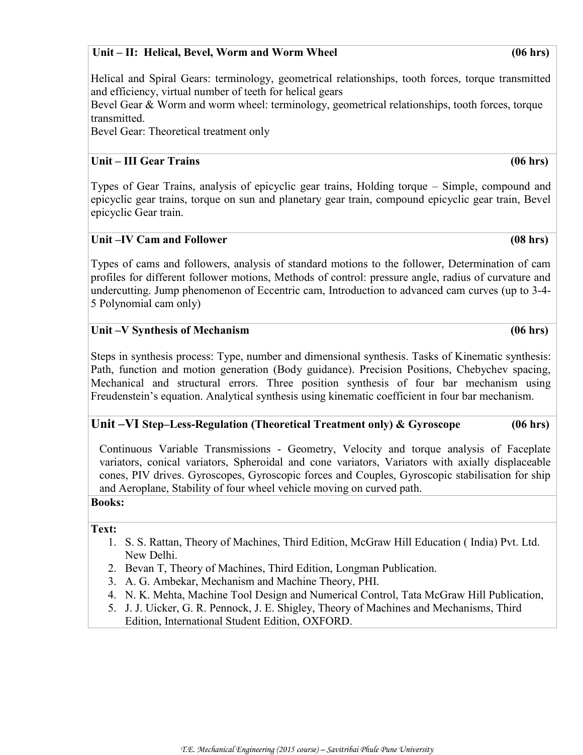#### **Unit – II: Helical, Bevel, Worm and Worm Wheel (06 hrs)**

Helical and Spiral Gears: terminology, geometrical relationships, tooth forces, torque transmitted and efficiency, virtual number of teeth for helical gears

Bevel Gear & Worm and worm wheel: terminology, geometrical relationships, tooth forces, torque transmitted.

Bevel Gear: Theoretical treatment only

# **Unit – III Gear Trains (06 hrs)**

Types of Gear Trains, analysis of epicyclic gear trains, Holding torque – Simple, compound and epicyclic gear trains, torque on sun and planetary gear train, compound epicyclic gear train, Bevel epicyclic Gear train.

### **Unit –IV Cam and Follower (08 hrs)**

Types of cams and followers, analysis of standard motions to the follower, Determination of cam profiles for different follower motions, Methods of control: pressure angle, radius of curvature and undercutting. Jump phenomenon of Eccentric cam, Introduction to advanced cam curves (up to 3-4- 5 Polynomial cam only)

### **Unit –V Synthesis of Mechanism (06 hrs)**

Steps in synthesis process: Type, number and dimensional synthesis. Tasks of Kinematic synthesis: Path, function and motion generation (Body guidance). Precision Positions, Chebychev spacing, Mechanical and structural errors. Three position synthesis of four bar mechanism using Freudenstein's equation. Analytical synthesis using kinematic coefficient in four bar mechanism.

# **Unit –VI Step–Less-Regulation (Theoretical Treatment only) & Gyroscope (06 hrs)**

Continuous Variable Transmissions - Geometry, Velocity and torque analysis of Faceplate variators, conical variators, Spheroidal and cone variators, Variators with axially displaceable cones, PIV drives. Gyroscopes, Gyroscopic forces and Couples, Gyroscopic stabilisation for ship and Aeroplane, Stability of four wheel vehicle moving on curved path. **Books:**

#### **Text:**

- 1. S. S. Rattan, Theory of Machines, Third Edition, McGraw Hill Education ( India) Pvt. Ltd. New Delhi.
- 2. Bevan T, Theory of Machines, Third Edition, Longman Publication.
- 3. A. G. Ambekar, Mechanism and Machine Theory, PHI.
- 4. N. K. Mehta, Machine Tool Design and Numerical Control, Tata McGraw Hill Publication,
- 5. J. J. Uicker, G. R. Pennock, J. E. Shigley, Theory of Machines and Mechanisms, Third Edition, International Student Edition, OXFORD.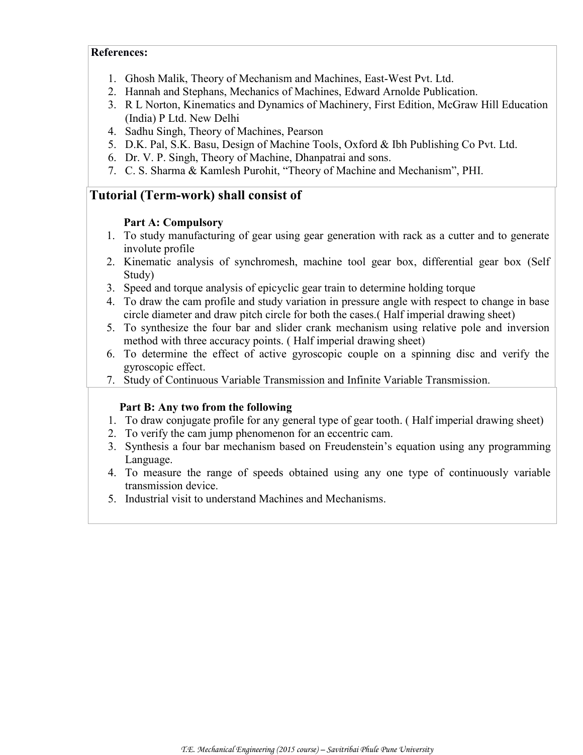#### **References:**

- 1. Ghosh Malik, Theory of Mechanism and Machines, East-West Pvt. Ltd.
- 2. Hannah and Stephans, Mechanics of Machines, Edward Arnolde Publication.
- 3. R L Norton, Kinematics and Dynamics of Machinery, First Edition, McGraw Hill Education (India) P Ltd. New Delhi
- 4. Sadhu Singh, Theory of Machines, Pearson
- 5. D.K. Pal, S.K. Basu, Design of Machine Tools, Oxford & Ibh Publishing Co Pvt. Ltd.
- 6. Dr. V. P. Singh, Theory of Machine, Dhanpatrai and sons.
- 7. C. S. Sharma & Kamlesh Purohit, "Theory of Machine and Mechanism", PHI.

# **Tutorial (Term-work) shall consist of**

#### **Part A: Compulsory**

- 1. To study manufacturing of gear using gear generation with rack as a cutter and to generate involute profile
- 2. Kinematic analysis of synchromesh, machine tool gear box, differential gear box (Self Study)
- 3. Speed and torque analysis of epicyclic gear train to determine holding torque
- 4. To draw the cam profile and study variation in pressure angle with respect to change in base circle diameter and draw pitch circle for both the cases.( Half imperial drawing sheet)
- 5. To synthesize the four bar and slider crank mechanism using relative pole and inversion method with three accuracy points. ( Half imperial drawing sheet)
- 6. To determine the effect of active gyroscopic couple on a spinning disc and verify the gyroscopic effect.
- 7. Study of Continuous Variable Transmission and Infinite Variable Transmission.

#### **Part B: Any two from the following**

- 1. To draw conjugate profile for any general type of gear tooth. ( Half imperial drawing sheet)
- 2. To verify the cam jump phenomenon for an eccentric cam.
- 3. Synthesis a four bar mechanism based on Freudenstein's equation using any programming Language.
- 4. To measure the range of speeds obtained using any one type of continuously variable transmission device.
- 5. Industrial visit to understand Machines and Mechanisms.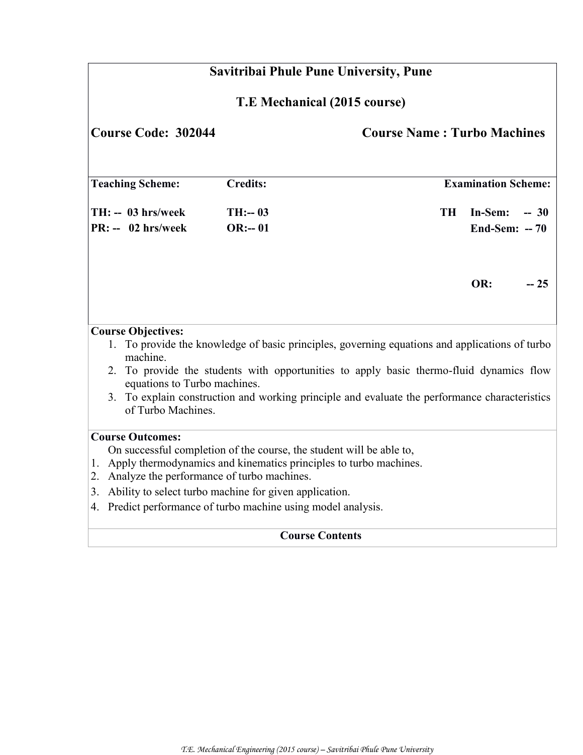|                              | Savitribai Phule Pune University, Pune                                                                                                                                                                                                                                                                                                                 |                       |                                                                                                                                                                                                                                                                                            |                                                 |  |  |  |
|------------------------------|--------------------------------------------------------------------------------------------------------------------------------------------------------------------------------------------------------------------------------------------------------------------------------------------------------------------------------------------------------|-----------------------|--------------------------------------------------------------------------------------------------------------------------------------------------------------------------------------------------------------------------------------------------------------------------------------------|-------------------------------------------------|--|--|--|
| T.E Mechanical (2015 course) |                                                                                                                                                                                                                                                                                                                                                        |                       |                                                                                                                                                                                                                                                                                            |                                                 |  |  |  |
|                              | <b>Course Code: 302044</b><br><b>Course Name: Turbo Machines</b>                                                                                                                                                                                                                                                                                       |                       |                                                                                                                                                                                                                                                                                            |                                                 |  |  |  |
|                              | <b>Teaching Scheme:</b>                                                                                                                                                                                                                                                                                                                                | <b>Credits:</b>       |                                                                                                                                                                                                                                                                                            | <b>Examination Scheme:</b>                      |  |  |  |
|                              | $TH: - 03$ hrs/week<br>$PR: - 02$ hrs/week                                                                                                                                                                                                                                                                                                             | $TH: -03$<br>$OR:-01$ |                                                                                                                                                                                                                                                                                            | <b>TH</b><br>In-Sem:<br>$-30$<br>End-Sem: $-70$ |  |  |  |
|                              |                                                                                                                                                                                                                                                                                                                                                        |                       |                                                                                                                                                                                                                                                                                            | OR:<br>$-25$                                    |  |  |  |
|                              | <b>Course Objectives:</b><br>machine.<br>equations to Turbo machines.<br>of Turbo Machines.                                                                                                                                                                                                                                                            |                       | 1. To provide the knowledge of basic principles, governing equations and applications of turbo<br>2. To provide the students with opportunities to apply basic thermo-fluid dynamics flow<br>3. To explain construction and working principle and evaluate the performance characteristics |                                                 |  |  |  |
|                              | <b>Course Outcomes:</b><br>On successful completion of the course, the student will be able to,<br>1. Apply thermodynamics and kinematics principles to turbo machines.<br>2. Analyze the performance of turbo machines.<br>3. Ability to select turbo machine for given application.<br>4. Predict performance of turbo machine using model analysis. |                       |                                                                                                                                                                                                                                                                                            |                                                 |  |  |  |
|                              | <b>Course Contents</b>                                                                                                                                                                                                                                                                                                                                 |                       |                                                                                                                                                                                                                                                                                            |                                                 |  |  |  |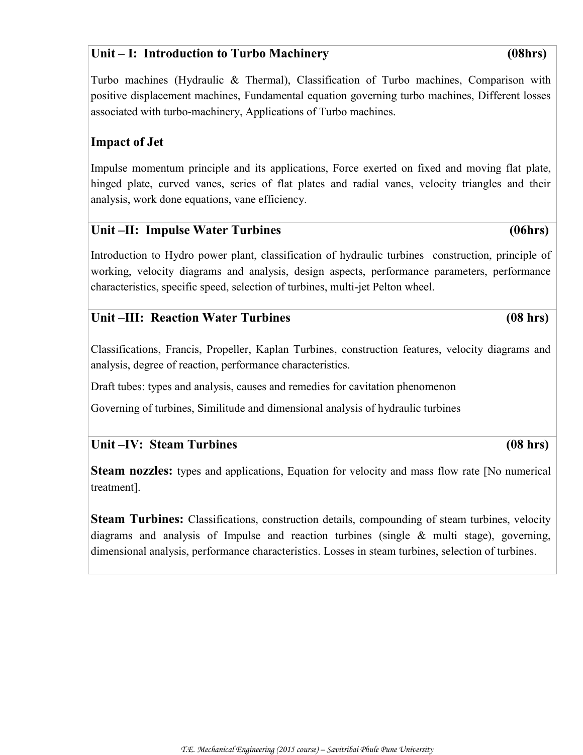# **Unit – I: Introduction to Turbo Machinery (08hrs)**

Turbo machines (Hydraulic & Thermal), Classification of Turbo machines, Comparison with positive displacement machines, Fundamental equation governing turbo machines, Different losses associated with turbo-machinery, Applications of Turbo machines.

# **Impact of Jet**

Impulse momentum principle and its applications, Force exerted on fixed and moving flat plate, hinged plate, curved vanes, series of flat plates and radial vanes, velocity triangles and their analysis, work done equations, vane efficiency.

# Unit –II: Impulse Water Turbines (06hrs)

Introduction to Hydro power plant, classification of hydraulic turbines construction, principle of working, velocity diagrams and analysis, design aspects, performance parameters, performance characteristics, specific speed, selection of turbines, multi-jet Pelton wheel.

# Unit –III: Reaction Water Turbines (08 hrs)

Classifications, Francis, Propeller, Kaplan Turbines, construction features, velocity diagrams and analysis, degree of reaction, performance characteristics.

Draft tubes: types and analysis, causes and remedies for cavitation phenomenon

Governing of turbines, Similitude and dimensional analysis of hydraulic turbines

# Unit –IV: Steam Turbines (08 hrs)

**Steam nozzles:** types and applications, Equation for velocity and mass flow rate [No numerical treatment].

**Steam Turbines:** Classifications, construction details, compounding of steam turbines, velocity diagrams and analysis of Impulse and reaction turbines (single & multi stage), governing, dimensional analysis, performance characteristics. Losses in steam turbines, selection of turbines.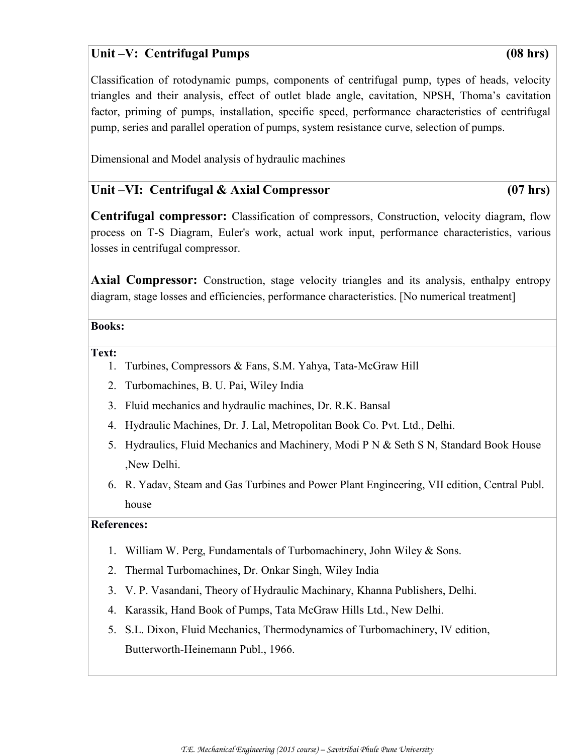# Unit –V: Centrifugal Pumps (08 hrs)

Classification of rotodynamic pumps, components of centrifugal pump, types of heads, velocity triangles and their analysis, effect of outlet blade angle, cavitation, NPSH, Thoma's cavitation factor, priming of pumps, installation, specific speed, performance characteristics of centrifugal pump, series and parallel operation of pumps, system resistance curve, selection of pumps.

Dimensional and Model analysis of hydraulic machines

# **Unit –VI: Centrifugal & Axial Compressor (07 hrs)**

**Centrifugal compressor:** Classification of compressors, Construction, velocity diagram, flow process on T-S Diagram, Euler's work, actual work input, performance characteristics, various losses in centrifugal compressor.

**Axial Compressor:** Construction, stage velocity triangles and its analysis, enthalpy entropy diagram, stage losses and efficiencies, performance characteristics. [No numerical treatment]

#### **Books:**

**Text:**

- 1. Turbines, Compressors & Fans, S.M. Yahya, Tata-McGraw Hill
- 2. Turbomachines, B. U. Pai, Wiley India
- 3. Fluid mechanics and hydraulic machines, Dr. R.K. Bansal
- 4. Hydraulic Machines, Dr. J. Lal, Metropolitan Book Co. Pvt. Ltd., Delhi.
- 5. Hydraulics, Fluid Mechanics and Machinery, Modi P N & Seth S N, Standard Book House ,New Delhi.
- 6. R. Yadav, Steam and Gas Turbines and Power Plant Engineering, VII edition, Central Publ. house

#### **References:**

- 1. William W. Perg, Fundamentals of Turbomachinery, John Wiley & Sons.
- 2. Thermal Turbomachines, Dr. Onkar Singh, Wiley India
- 3. V. P. Vasandani, Theory of Hydraulic Machinary, Khanna Publishers, Delhi.
- 4. Karassik, Hand Book of Pumps, Tata McGraw Hills Ltd., New Delhi.
- 5. S.L. Dixon, Fluid Mechanics, Thermodynamics of Turbomachinery, IV edition, Butterworth-Heinemann Publ., 1966.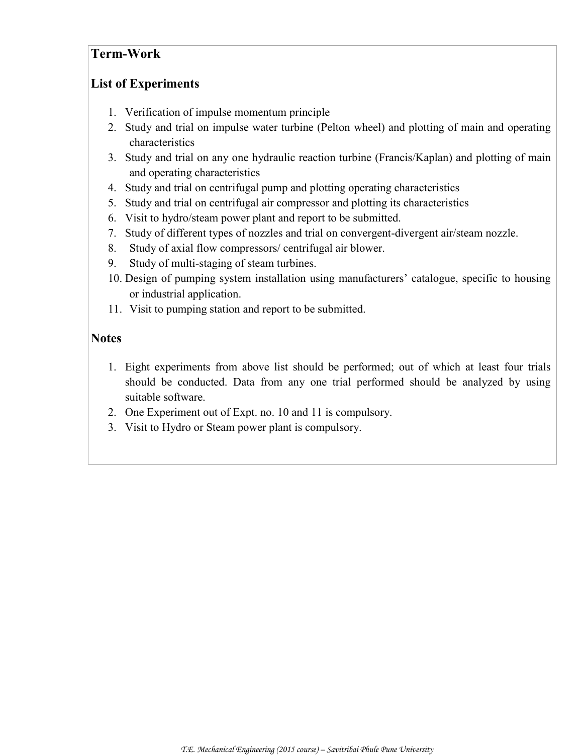# **Term-Work**

# **List of Experiments**

- 1. Verification of impulse momentum principle
- 2. Study and trial on impulse water turbine (Pelton wheel) and plotting of main and operating characteristics
- 3. Study and trial on any one hydraulic reaction turbine (Francis/Kaplan) and plotting of main and operating characteristics
- 4. Study and trial on centrifugal pump and plotting operating characteristics
- 5. Study and trial on centrifugal air compressor and plotting its characteristics
- 6. Visit to hydro/steam power plant and report to be submitted.
- 7. Study of different types of nozzles and trial on convergent-divergent air/steam nozzle.
- 8. Study of axial flow compressors/ centrifugal air blower.
- 9. Study of multi-staging of steam turbines.
- 10. Design of pumping system installation using manufacturers' catalogue, specific to housing or industrial application.
- 11. Visit to pumping station and report to be submitted.

# **Notes**

- 1. Eight experiments from above list should be performed; out of which at least four trials should be conducted. Data from any one trial performed should be analyzed by using suitable software.
- 2. One Experiment out of Expt. no. 10 and 11 is compulsory.
- 3. Visit to Hydro or Steam power plant is compulsory.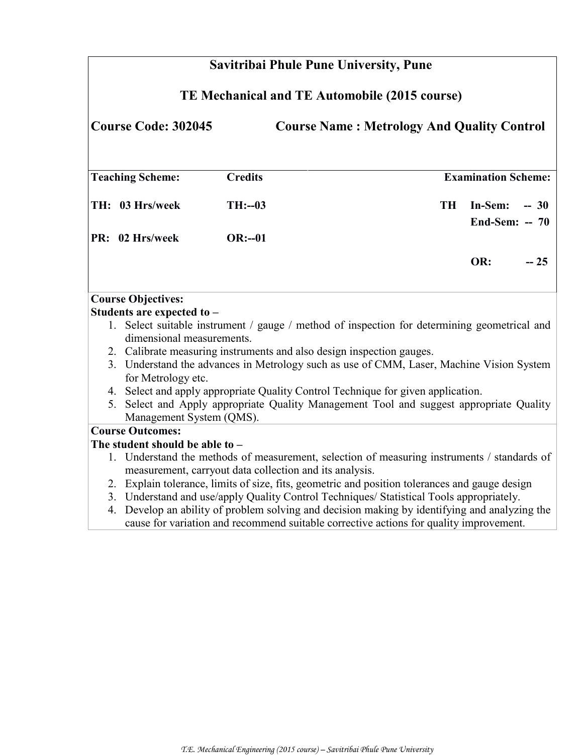| Savitribai Phule Pune University, Pune                                          |                                                         |                |                                                                                                                                                                                      |           |                            |       |  |
|---------------------------------------------------------------------------------|---------------------------------------------------------|----------------|--------------------------------------------------------------------------------------------------------------------------------------------------------------------------------------|-----------|----------------------------|-------|--|
| TE Mechanical and TE Automobile (2015 course)                                   |                                                         |                |                                                                                                                                                                                      |           |                            |       |  |
| <b>Course Code: 302045</b><br><b>Course Name: Metrology And Quality Control</b> |                                                         |                |                                                                                                                                                                                      |           |                            |       |  |
|                                                                                 | <b>Teaching Scheme:</b>                                 | <b>Credits</b> |                                                                                                                                                                                      |           | <b>Examination Scheme:</b> |       |  |
|                                                                                 | TH: 03 Hrs/week                                         | $TH: -03$      |                                                                                                                                                                                      | <b>TH</b> | In-Sem:<br>End-Sem: $-70$  | $-30$ |  |
|                                                                                 | PR: 02 Hrs/week                                         | $OR:-01$       |                                                                                                                                                                                      |           |                            |       |  |
|                                                                                 |                                                         |                |                                                                                                                                                                                      |           | OR:                        | $-25$ |  |
|                                                                                 | <b>Course Objectives:</b>                               |                |                                                                                                                                                                                      |           |                            |       |  |
|                                                                                 | Students are expected to -                              |                |                                                                                                                                                                                      |           |                            |       |  |
|                                                                                 | dimensional measurements.                               |                | 1. Select suitable instrument / gauge / method of inspection for determining geometrical and                                                                                         |           |                            |       |  |
|                                                                                 |                                                         |                | 2. Calibrate measuring instruments and also design inspection gauges.                                                                                                                |           |                            |       |  |
|                                                                                 | for Metrology etc.                                      |                | 3. Understand the advances in Metrology such as use of CMM, Laser, Machine Vision System                                                                                             |           |                            |       |  |
|                                                                                 |                                                         |                | 4. Select and apply appropriate Quality Control Technique for given application.                                                                                                     |           |                            |       |  |
|                                                                                 | Management System (QMS).                                |                | 5. Select and Apply appropriate Quality Management Tool and suggest appropriate Quality                                                                                              |           |                            |       |  |
|                                                                                 | <b>Course Outcomes:</b>                                 |                |                                                                                                                                                                                      |           |                            |       |  |
|                                                                                 | The student should be able to $-$                       |                |                                                                                                                                                                                      |           |                            |       |  |
|                                                                                 | measurement, carryout data collection and its analysis. |                | 1. Understand the methods of measurement, selection of measuring instruments / standards of                                                                                          |           |                            |       |  |
|                                                                                 |                                                         |                | 2. Explain tolerance, limits of size, fits, geometric and position tolerances and gauge design                                                                                       |           |                            |       |  |
|                                                                                 |                                                         |                | 3. Understand and use/apply Quality Control Techniques/ Statistical Tools appropriately.                                                                                             |           |                            |       |  |
| 4.                                                                              |                                                         |                | Develop an ability of problem solving and decision making by identifying and analyzing the<br>cause for variation and recommend suitable corrective actions for quality improvement. |           |                            |       |  |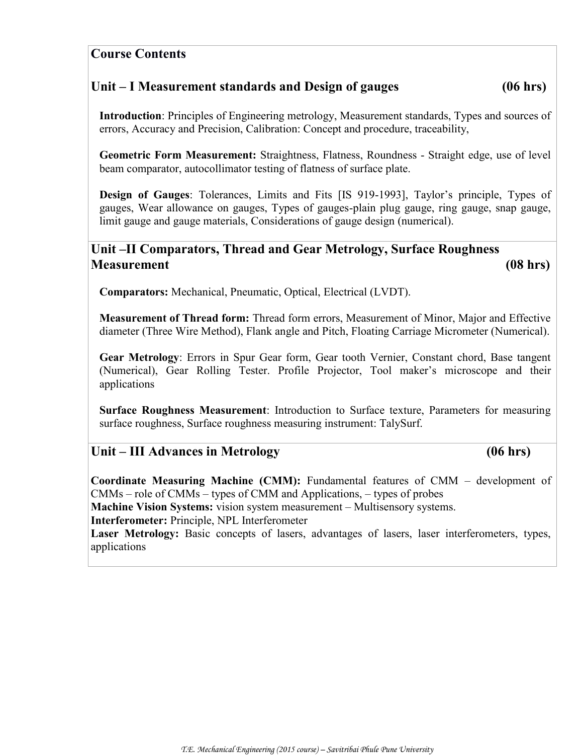# **Course Contents**

# **Unit – I Measurement standards and Design of gauges (06 hrs)**

**Introduction**: Principles of Engineering metrology, Measurement standards, Types and sources of errors, Accuracy and Precision, Calibration: Concept and procedure, traceability,

**Geometric Form Measurement:** Straightness, Flatness, Roundness - Straight edge, use of level beam comparator, autocollimator testing of flatness of surface plate.

**Design of Gauges**: Tolerances, Limits and Fits [IS 919-1993], Taylor's principle, Types of gauges, Wear allowance on gauges, Types of gauges-plain plug gauge, ring gauge, snap gauge, limit gauge and gauge materials, Considerations of gauge design (numerical).

# **Unit –II Comparators, Thread and Gear Metrology, Surface Roughness Measurement (08 hrs)**

**Comparators:** Mechanical, Pneumatic, Optical, Electrical (LVDT).

**Measurement of Thread form:** Thread form errors, Measurement of Minor, Major and Effective diameter (Three Wire Method), Flank angle and Pitch, Floating Carriage Micrometer (Numerical).

**Gear Metrology**: Errors in Spur Gear form, Gear tooth Vernier, Constant chord, Base tangent (Numerical), Gear Rolling Tester. Profile Projector, Tool maker's microscope and their applications

**Surface Roughness Measurement**: Introduction to Surface texture, Parameters for measuring surface roughness, Surface roughness measuring instrument: TalySurf.

# **Unit – III Advances in Metrology (06 hrs)**

**Coordinate Measuring Machine (CMM):** Fundamental features of CMM – development of CMMs – role of CMMs – types of CMM and Applications, – types of probes **Machine Vision Systems:** vision system measurement – Multisensory systems. **Interferometer:** Principle, NPL Interferometer **Laser Metrology:** Basic concepts of lasers, advantages of lasers, laser interferometers, types, applications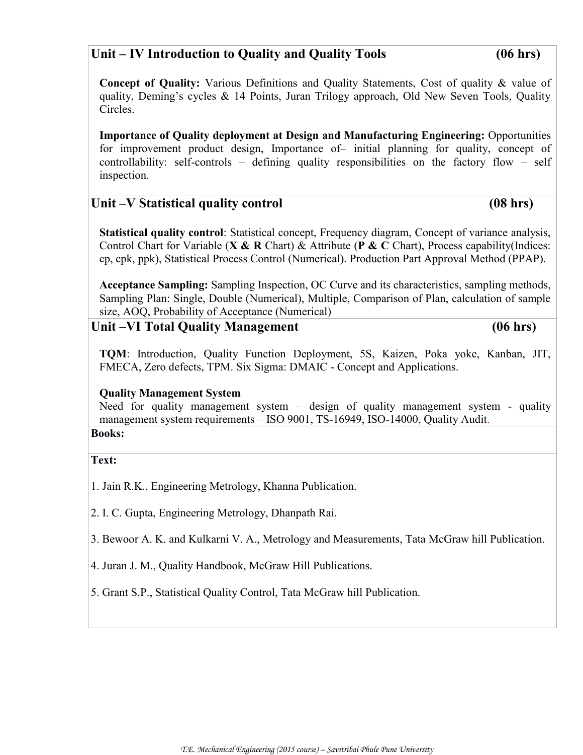# **Unit – IV Introduction to Quality and Quality Tools (06 hrs)**

**Concept of Quality:** Various Definitions and Quality Statements, Cost of quality & value of quality, Deming's cycles & 14 Points, Juran Trilogy approach, Old New Seven Tools, Quality Circles.

**Importance of Quality deployment at Design and Manufacturing Engineering:** Opportunities for improvement product design, Importance of– initial planning for quality, concept of controllability: self-controls – defining quality responsibilities on the factory flow – self inspection.

# Unit –V Statistical quality control (08 hrs)

**Statistical quality control**: Statistical concept, Frequency diagram, Concept of variance analysis, Control Chart for Variable (**X & R** Chart) & Attribute (**P & C** Chart), Process capability(Indices: cp, cpk, ppk), Statistical Process Control (Numerical). Production Part Approval Method (PPAP).

**Acceptance Sampling:** Sampling Inspection, OC Curve and its characteristics, sampling methods, Sampling Plan: Single, Double (Numerical), Multiple, Comparison of Plan, calculation of sample size, AOQ, Probability of Acceptance (Numerical)

# Unit –VI Total Quality Management (06 hrs)

**TQM**: Introduction, Quality Function Deployment, 5S, Kaizen, Poka yoke, Kanban, JIT, FMECA, Zero defects, TPM. Six Sigma: DMAIC - Concept and Applications.

#### **Quality Management System**

Need for quality management system – design of quality management system - quality management system requirements – ISO 9001, TS-16949, ISO-14000, Quality Audit. **Books:**

#### **Text:**

1. Jain R.K., Engineering Metrology, Khanna Publication.

2. I. C. Gupta, Engineering Metrology, Dhanpath Rai.

3. Bewoor A. K. and Kulkarni V. A., Metrology and Measurements, Tata McGraw hill Publication.

4. Juran J. M., Quality Handbook, McGraw Hill Publications.

5. Grant S.P., Statistical Quality Control, Tata McGraw hill Publication.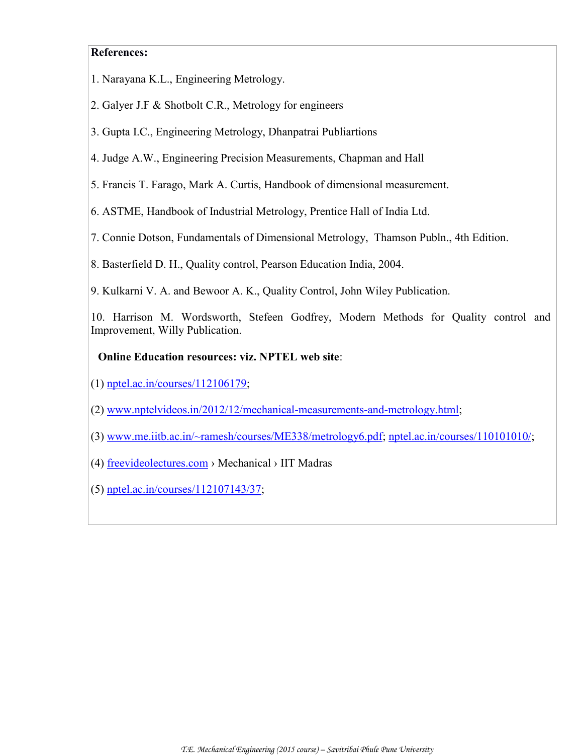#### **References:**

- 1. Narayana K.L., Engineering Metrology.
- 2. Galyer J.F & Shotbolt C.R., Metrology for engineers
- 3. Gupta I.C., Engineering Metrology, Dhanpatrai Publiartions
- 4. Judge A.W., Engineering Precision Measurements, Chapman and Hall
- 5. Francis T. Farago, Mark A. Curtis, Handbook of dimensional measurement.
- 6. ASTME, Handbook of Industrial Metrology, Prentice Hall of India Ltd.
- 7. Connie Dotson, Fundamentals of Dimensional Metrology, Thamson Publn., 4th Edition.
- 8. Basterfield D. H., Quality control, Pearson Education India, 2004.
- 9. Kulkarni V. A. and Bewoor A. K., Quality Control, John Wiley Publication.
- 10. Harrison M. Wordsworth, Stefeen Godfrey, Modern Methods for Quality control and Improvement, Willy Publication.

#### **Online Education resources: viz. NPTEL web site**:

- (1) nptel.ac.in/courses/112106179;
- (2) www.nptelvideos.in/2012/12/mechanical-measurements-and-metrology.html;
- (3) www.me.iitb.ac.in/~ramesh/courses/ME338/metrology6.pdf; [nptel.ac.in/courses/110101010/;](http://nptel.ac.in/courses/110101010/)
- (4) freevideolectures.com › Mechanical › IIT Madras
- (5) nptel.ac.in/courses/112107143/37;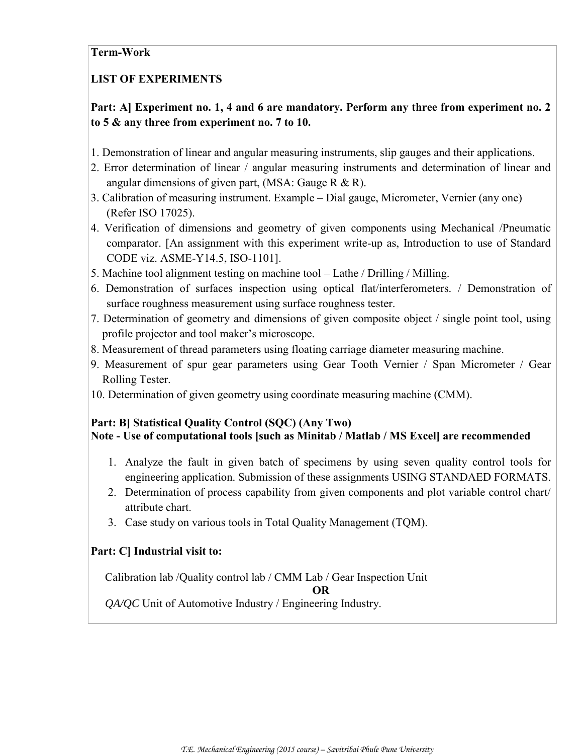#### **Term-Work**

# **LIST OF EXPERIMENTS**

# **Part: A] Experiment no. 1, 4 and 6 are mandatory. Perform any three from experiment no. 2 to 5 & any three from experiment no. 7 to 10.**

- 1. Demonstration of linear and angular measuring instruments, slip gauges and their applications.
- 2. Error determination of linear / angular measuring instruments and determination of linear and angular dimensions of given part, (MSA: Gauge R & R).
- 3. Calibration of measuring instrument. Example Dial gauge, Micrometer, Vernier (any one) (Refer ISO 17025).
- 4. Verification of dimensions and geometry of given components using Mechanical /Pneumatic comparator. [An assignment with this experiment write-up as, Introduction to use of Standard CODE viz. ASME-Y14.5, ISO-1101].
- 5. Machine tool alignment testing on machine tool Lathe / Drilling / Milling.
- 6. Demonstration of surfaces inspection using optical flat/interferometers. / Demonstration of surface roughness measurement using surface roughness tester.
- 7. Determination of geometry and dimensions of given composite object / single point tool, using profile projector and tool maker's microscope.
- 8. Measurement of thread parameters using floating carriage diameter measuring machine.
- 9. Measurement of spur gear parameters using Gear Tooth Vernier / Span Micrometer / Gear Rolling Tester.
- 10. Determination of given geometry using coordinate measuring machine (CMM).

# **Part: B] Statistical Quality Control (SQC) (Any Two)**

# **Note - Use of computational tools [such as Minitab / Matlab / MS Excel] are recommended**

- 1. Analyze the fault in given batch of specimens by using seven quality control tools for engineering application. Submission of these assignments USING STANDAED FORMATS.
- 2. Determination of process capability from given components and plot variable control chart/ attribute chart.
- 3. Case study on various tools in Total Quality Management (TQM).

#### **Part: C] Industrial visit to:**

Calibration lab /Quality control lab / CMM Lab / Gear Inspection Unit

**OR**

 *QA/QC* Unit of Automotive Industry / Engineering Industry.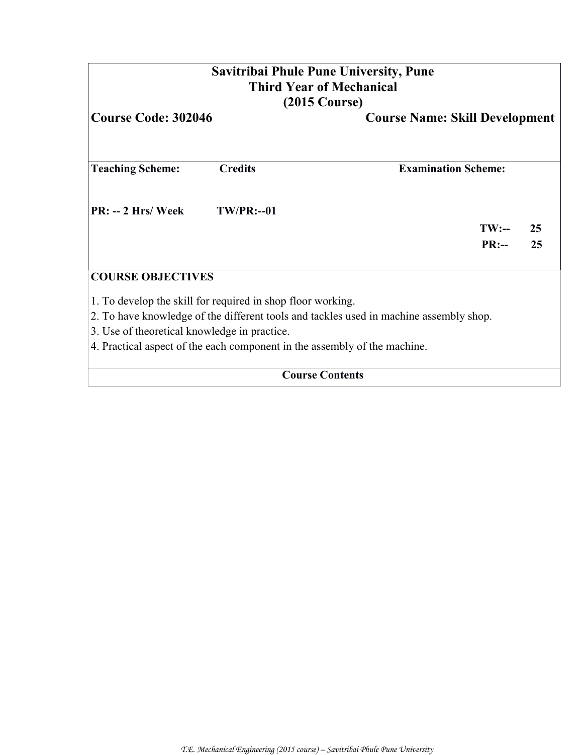# **Savitribai Phule Pune University, Pune Third Year of Mechanical (2015 Course)**

| <b>Course Code: 302046</b>                                                |                                                             | <b>Course Name: Skill Development</b>                                                  |  |  |  |
|---------------------------------------------------------------------------|-------------------------------------------------------------|----------------------------------------------------------------------------------------|--|--|--|
| <b>Teaching Scheme:</b>                                                   | <b>Credits</b>                                              | <b>Examination Scheme:</b>                                                             |  |  |  |
| $PR: -2 Hrs/Week$                                                         | $TW/PR: -01$                                                |                                                                                        |  |  |  |
|                                                                           |                                                             | $TW:$ --<br>25<br>PR:<br>25                                                            |  |  |  |
| <b>COURSE OBJECTIVES</b>                                                  |                                                             |                                                                                        |  |  |  |
|                                                                           | 1. To develop the skill for required in shop floor working. |                                                                                        |  |  |  |
|                                                                           |                                                             | 2. To have knowledge of the different tools and tackles used in machine assembly shop. |  |  |  |
| 3. Use of theoretical knowledge in practice.                              |                                                             |                                                                                        |  |  |  |
| 4. Practical aspect of the each component in the assembly of the machine. |                                                             |                                                                                        |  |  |  |

**Course Contents**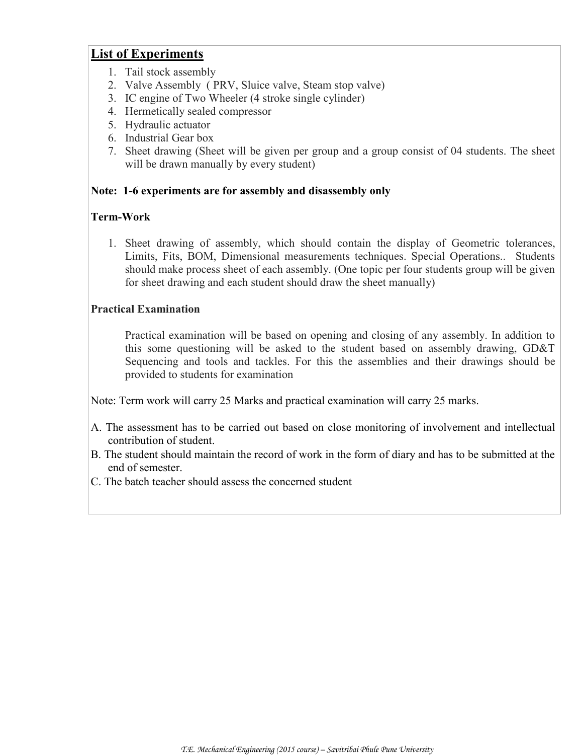# **List of Experiments**

- 1. Tail stock assembly
- 2. Valve Assembly ( PRV, Sluice valve, Steam stop valve)
- 3. IC engine of Two Wheeler (4 stroke single cylinder)
- 4. Hermetically sealed compressor
- 5. Hydraulic actuator
- 6. Industrial Gear box
- 7. Sheet drawing (Sheet will be given per group and a group consist of 04 students. The sheet will be drawn manually by every student)

### **Note: 1-6 experiments are for assembly and disassembly only**

# **Term-Work**

1. Sheet drawing of assembly, which should contain the display of Geometric tolerances, Limits, Fits, BOM, Dimensional measurements techniques. Special Operations.. Students should make process sheet of each assembly. (One topic per four students group will be given for sheet drawing and each student should draw the sheet manually)

### **Practical Examination**

Practical examination will be based on opening and closing of any assembly. In addition to this some questioning will be asked to the student based on assembly drawing, GD&T Sequencing and tools and tackles. For this the assemblies and their drawings should be provided to students for examination

Note: Term work will carry 25 Marks and practical examination will carry 25 marks.

- A. The assessment has to be carried out based on close monitoring of involvement and intellectual contribution of student.
- B. The student should maintain the record of work in the form of diary and has to be submitted at the end of semester.
- C. The batch teacher should assess the concerned student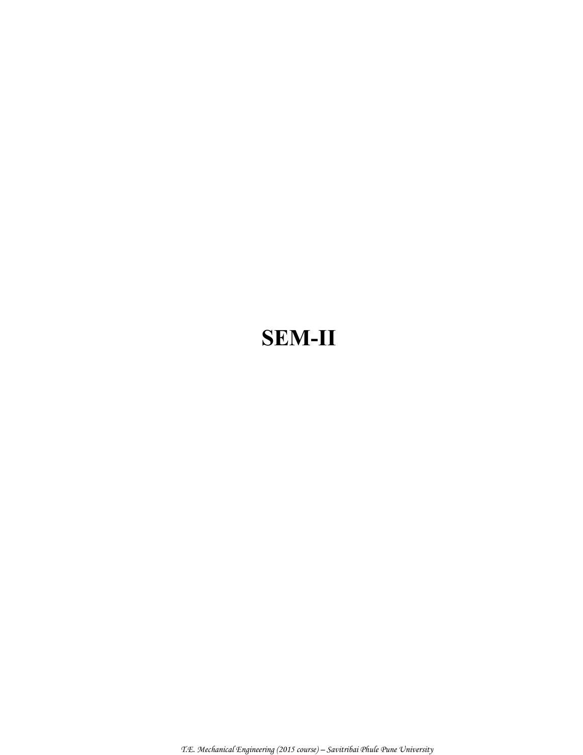# **SEM-II**

 *T.E. Mechanical Engineering (2015 course) – Savitribai Phule Pune University*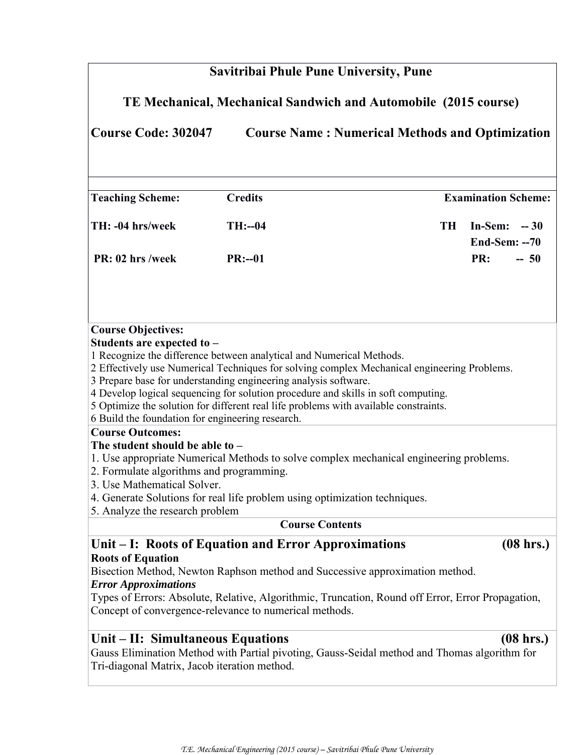# **Savitribai Phule Pune University, Pune**

# **TE Mechanical, Mechanical Sandwich and Automobile (2015 course)**

**Course Code: 302047 Course Name : Numerical Methods and Optimization**

| <b>Teaching Scheme:</b> | <b>Credits</b> |     | <b>Examination Scheme:</b> |
|-------------------------|----------------|-----|----------------------------|
| TH: -04 hrs/week        | $TH: -04$      | TH. | In-Sem: $-30$              |
|                         |                |     | End-Sem: $-70$             |
| PR: 02 hrs /week        | $PR: -01$      |     | <b>PR:</b><br>$-50$        |

#### **Course Objectives:**

#### **Students are expected to –**

1 Recognize the difference between analytical and Numerical Methods.

2 Effectively use Numerical Techniques for solving complex Mechanical engineering Problems.

3 Prepare base for understanding engineering analysis software.

4 Develop logical sequencing for solution procedure and skills in soft computing.

5 Optimize the solution for different real life problems with available constraints.

6 Build the foundation for engineering research.

#### **Course Outcomes:**

#### **The student should be able to –**

1. Use appropriate Numerical Methods to solve complex mechanical engineering problems.

- 2. Formulate algorithms and programming.
- 3. Use Mathematical Solver.

4. Generate Solutions for real life problem using optimization techniques.

5. Analyze the research problem

#### **Course Contents**

#### **Unit – I: Roots of Equation and Error Approximations (08 hrs.) Roots of Equation**

# Bisection Method, Newton Raphson method and Successive approximation method.

#### *Error Approximations*

Types of Errors: Absolute, Relative, Algorithmic, Truncation, Round off Error, Error Propagation, Concept of convergence-relevance to numerical methods.

# **Unit – II: Simultaneous Equations****(08 hrs.)**

Gauss Elimination Method with Partial pivoting, Gauss-Seidal method and Thomas algorithm for Tri-diagonal Matrix, Jacob iteration method.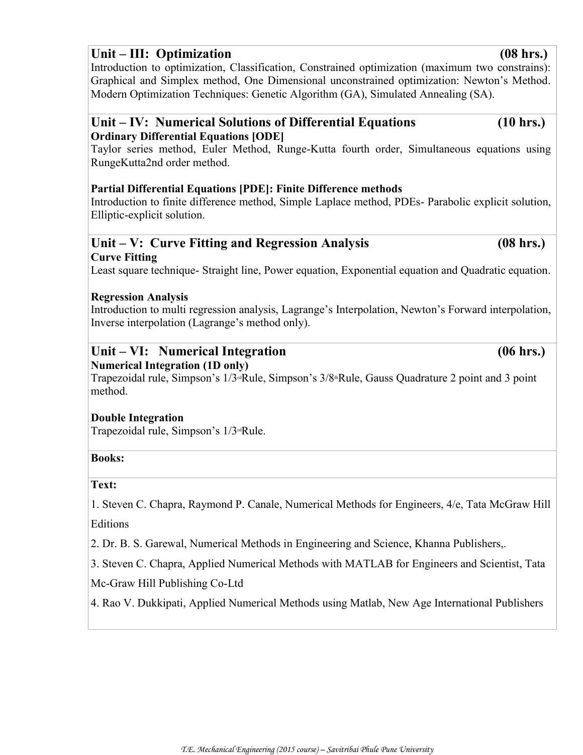# **Unit – III: Optimization****(08 hrs.)**

Introduction to optimization, Classification, Constrained optimization (maximum two constrains): Graphical and Simplex method, One Dimensional unconstrained optimization: Newton's Method. Modern Optimization Techniques: Genetic Algorithm (GA), Simulated Annealing (SA).

# **Unit – IV: Numerical Solutions of Differential Equations (10 hrs.) Ordinary Differential Equations [ODE]**

Taylor series method, Euler Method, Runge-Kutta fourth order, Simultaneous equations using RungeKutta2nd order method.

# **Partial Differential Equations [PDE]: Finite Difference methods**

Introduction to finite difference method, Simple Laplace method, PDEs- Parabolic explicit solution, Elliptic-explicit solution.

# **Unit – V: Curve Fitting and Regression Analysis (08 hrs.) Curve Fitting**

Least square technique- Straight line, Power equation, Exponential equation and Quadratic equation.

### **Regression Analysis**

Introduction to multi regression analysis, Lagrange's Interpolation, Newton's Forward interpolation, Inverse interpolation (Lagrange's method only).

#### **Unit – VI: Numerical Integration (06 hrs.) Numerical Integration (1D only)**

Trapezoidal rule, Simpson's  $1/3^d$ Rule, Simpson's  $3/8^d$ Rule, Gauss Quadrature 2 point and 3 point method.

#### **Double Integration**

Trapezoidal rule, Simpson's 1/3rdRule.

#### **Books:**

#### **Text:**

1. Steven C. Chapra, Raymond P. Canale, Numerical Methods for Engineers, 4/e, Tata McGraw Hill **Editions** 

2. Dr. B. S. Garewal, Numerical Methods in Engineering and Science, Khanna Publishers,.

3. Steven C. Chapra, Applied Numerical Methods with MATLAB for Engineers and Scientist, Tata

Mc-Graw Hill Publishing Co-Ltd

4. Rao V. Dukkipati, Applied Numerical Methods using Matlab, New Age International Publishers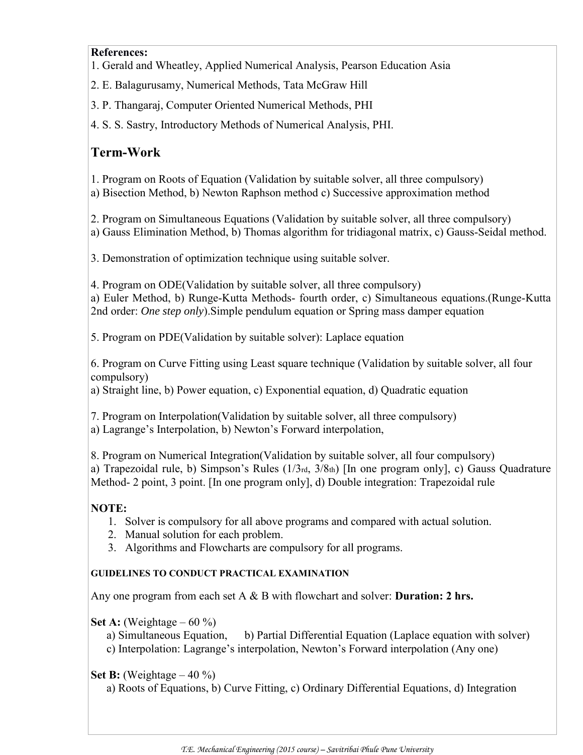#### **References:**

- 1. Gerald and Wheatley, Applied Numerical Analysis, Pearson Education Asia
- 2. E. Balagurusamy, Numerical Methods, Tata McGraw Hill
- 3. P. Thangaraj, Computer Oriented Numerical Methods, PHI

4. S. S. Sastry, Introductory Methods of Numerical Analysis, PHI.

# **Term-Work**

1. Program on Roots of Equation (Validation by suitable solver, all three compulsory)

a) Bisection Method, b) Newton Raphson method c) Successive approximation method

2. Program on Simultaneous Equations (Validation by suitable solver, all three compulsory) a) Gauss Elimination Method, b) Thomas algorithm for tridiagonal matrix, c) Gauss-Seidal method.

3. Demonstration of optimization technique using suitable solver.

4. Program on ODE(Validation by suitable solver, all three compulsory)

a) Euler Method, b) Runge-Kutta Methods- fourth order, c) Simultaneous equations.(Runge-Kutta 2nd order: *One step only*).Simple pendulum equation or Spring mass damper equation

5. Program on PDE(Validation by suitable solver): Laplace equation

6. Program on Curve Fitting using Least square technique (Validation by suitable solver, all four compulsory)

a) Straight line, b) Power equation, c) Exponential equation, d) Quadratic equation

7. Program on Interpolation(Validation by suitable solver, all three compulsory)

a) Lagrange's Interpolation, b) Newton's Forward interpolation,

8. Program on Numerical Integration(Validation by suitable solver, all four compulsory) a) Trapezoidal rule, b) Simpson's Rules (1/3rd, 3/8th) [In one program only], c) Gauss Quadrature Method- 2 point, 3 point. [In one program only], d) Double integration: Trapezoidal rule

# **NOTE:**

- 1. Solver is compulsory for all above programs and compared with actual solution.
- 2. Manual solution for each problem.
- 3. Algorithms and Flowcharts are compulsory for all programs.

#### **GUIDELINES TO CONDUCT PRACTICAL EXAMINATION**

Any one program from each set A & B with flowchart and solver: **Duration: 2 hrs.**

**Set A:** (Weightage – 60 %)

- a) Simultaneous Equation, b) Partial Differential Equation (Laplace equation with solver)
- c) Interpolation: Lagrange's interpolation, Newton's Forward interpolation (Any one)

# **Set B:** (Weightage  $-40\%$ )

a) Roots of Equations, b) Curve Fitting, c) Ordinary Differential Equations, d) Integration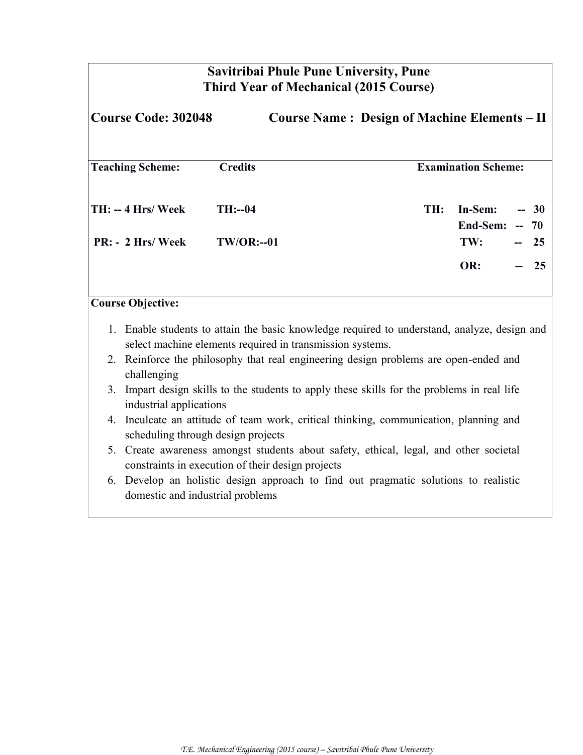# **Savitribai Phule Pune University, Pune Third Year of Mechanical (2015 Course)**

| <b>Course Code: 302048</b>                               |                                                                                                                                                           | <b>Course Name: Design of Machine Elements - II</b> |                            |                      |
|----------------------------------------------------------|-----------------------------------------------------------------------------------------------------------------------------------------------------------|-----------------------------------------------------|----------------------------|----------------------|
| <b>Teaching Scheme:</b>                                  | <b>Credits</b>                                                                                                                                            |                                                     | <b>Examination Scheme:</b> |                      |
| <b>TH: -- 4 Hrs/ Week</b><br>$PR: - 2 Hrs / \text{Week}$ | $TH: -04$<br><b>TW/OR:--01</b>                                                                                                                            | TH:                                                 | In-Sem:<br>End-Sem:<br>TW: | $-30$<br>$-70$<br>25 |
|                                                          |                                                                                                                                                           |                                                     | OR:                        | 25                   |
| <b>Course Objective:</b>                                 | 1. Enable students to attain the basic knowledge required to understand, analyze, design and<br>select machine elements required in transmission systems. |                                                     |                            |                      |
| challenging                                              | 2. Reinforce the philosophy that real engineering design problems are open-ended and                                                                      |                                                     |                            |                      |
| industrial applications                                  | 3. Impart design skills to the students to apply these skills for the problems in real life                                                               |                                                     |                            |                      |
| scheduling through design projects                       | 4. Inculcate an attitude of team work, critical thinking, communication, planning and                                                                     |                                                     |                            |                      |

- 5. Create awareness amongst students about safety, ethical, legal, and other societal constraints in execution of their design projects
- 6. Develop an holistic design approach to find out pragmatic solutions to realistic domestic and industrial problems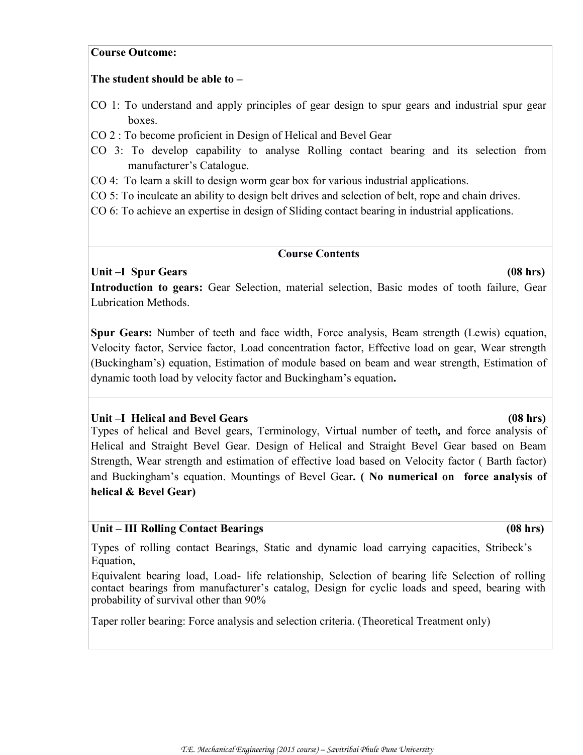#### **Course Outcome:**

#### **The student should be able to –**

- CO 1: To understand and apply principles of gear design to spur gears and industrial spur gear boxes.
- CO 2 : To become proficient in Design of Helical and Bevel Gear
- CO 3: To develop capability to analyse Rolling contact bearing and its selection from manufacturer's Catalogue.
- CO 4: To learn a skill to design worm gear box for various industrial applications.
- CO 5: To inculcate an ability to design belt drives and selection of belt, rope and chain drives.
- CO 6: To achieve an expertise in design of Sliding contact bearing in industrial applications.

#### **Course Contents**

#### Unit –I Spur Gears (08 hrs)

**Introduction to gears:** Gear Selection, material selection, Basic modes of tooth failure, Gear Lubrication Methods.

**Spur Gears:** Number of teeth and face width, Force analysis, Beam strength (Lewis) equation, Velocity factor, Service factor, Load concentration factor, Effective load on gear, Wear strength (Buckingham's) equation, Estimation of module based on beam and wear strength, Estimation of dynamic tooth load by velocity factor and Buckingham's equation**.**

#### **Unit –I Helical and Bevel Gears (08 hrs)**

Types of helical and Bevel gears, Terminology, Virtual number of teeth*,* and force analysis of Helical and Straight Bevel Gear. Design of Helical and Straight Bevel Gear based on Beam Strength, Wear strength and estimation of effective load based on Velocity factor ( Barth factor) and Buckingham's equation. Mountings of Bevel Gear**. ( No numerical on force analysis of helical & Bevel Gear)**

#### **Unit – III Rolling Contact Bearings (08 hrs)**

Types of rolling contact Bearings, Static and dynamic load carrying capacities, Stribeck's Equation,

Equivalent bearing load, Load- life relationship, Selection of bearing life Selection of rolling contact bearings from manufacturer's catalog, Design for cyclic loads and speed, bearing with probability of survival other than 90%

Taper roller bearing: Force analysis and selection criteria. (Theoretical Treatment only)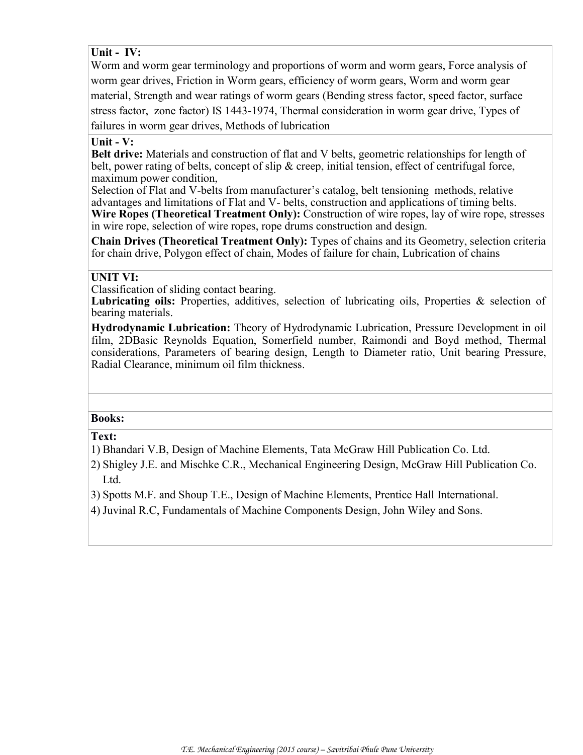**Unit - IV:** 

Worm and worm gear terminology and proportions of worm and worm gears, Force analysis of worm gear drives, Friction in Worm gears, efficiency of worm gears, Worm and worm gear material, Strength and wear ratings of worm gears (Bending stress factor, speed factor, surface stress factor, zone factor) IS 1443-1974, Thermal consideration in worm gear drive, Types of failures in worm gear drives, Methods of lubrication

#### **Unit - V:**

**Belt drive:** Materials and construction of flat and V belts, geometric relationships for length of belt, power rating of belts, concept of slip  $\&$  creep, initial tension, effect of centrifugal force, maximum power condition,

Selection of Flat and V-belts from manufacturer's catalog, belt tensioning methods, relative advantages and limitations of Flat and V- belts, construction and applications of timing belts. **Wire Ropes (Theoretical Treatment Only):** Construction of wire ropes, lay of wire rope, stresses in wire rope, selection of wire ropes, rope drums construction and design.

**Chain Drives (Theoretical Treatment Only):** Types of chains and its Geometry, selection criteria for chain drive, Polygon effect of chain, Modes of failure for chain, Lubrication of chains

#### **UNIT VI:**

Classification of sliding contact bearing.

Lubricating oils: Properties, additives, selection of lubricating oils, Properties & selection of bearing materials.

**Hydrodynamic Lubrication:** Theory of Hydrodynamic Lubrication, Pressure Development in oil film, 2DBasic Reynolds Equation, Somerfield number, Raimondi and Boyd method, Thermal considerations, Parameters of bearing design, Length to Diameter ratio, Unit bearing Pressure, Radial Clearance, minimum oil film thickness.

#### **Books:**

**Text:**

1) Bhandari V.B, Design of Machine Elements, Tata McGraw Hill Publication Co. Ltd.

2) Shigley J.E. and Mischke C.R., Mechanical Engineering Design, McGraw Hill Publication Co. Ltd.

3) Spotts M.F. and Shoup T.E., Design of Machine Elements, Prentice Hall International.

4) Juvinal R.C, Fundamentals of Machine Components Design, John Wiley and Sons.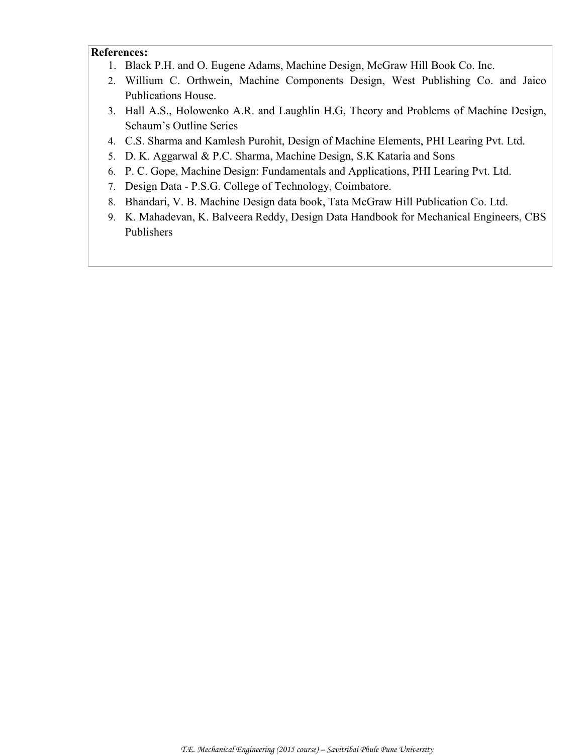#### **References:**

- 1. Black P.H. and O. Eugene Adams, Machine Design, McGraw Hill Book Co. Inc.
- 2. Willium C. Orthwein, Machine Components Design, West Publishing Co. and Jaico Publications House.
- 3. Hall A.S., Holowenko A.R. and Laughlin H.G, Theory and Problems of Machine Design, Schaum's Outline Series
- 4. C.S. Sharma and Kamlesh Purohit, Design of Machine Elements, PHI Learing Pvt. Ltd.
- 5. D. K. Aggarwal & P.C. Sharma, Machine Design, S.K Kataria and Sons
- 6. P. C. Gope, Machine Design: Fundamentals and Applications, PHI Learing Pvt. Ltd.
- 7. Design Data P.S.G. College of Technology, Coimbatore.
- 8. Bhandari, V. B. Machine Design data book, Tata McGraw Hill Publication Co. Ltd.
- 9. K. Mahadevan, K. Balveera Reddy, Design Data Handbook for Mechanical Engineers, CBS Publishers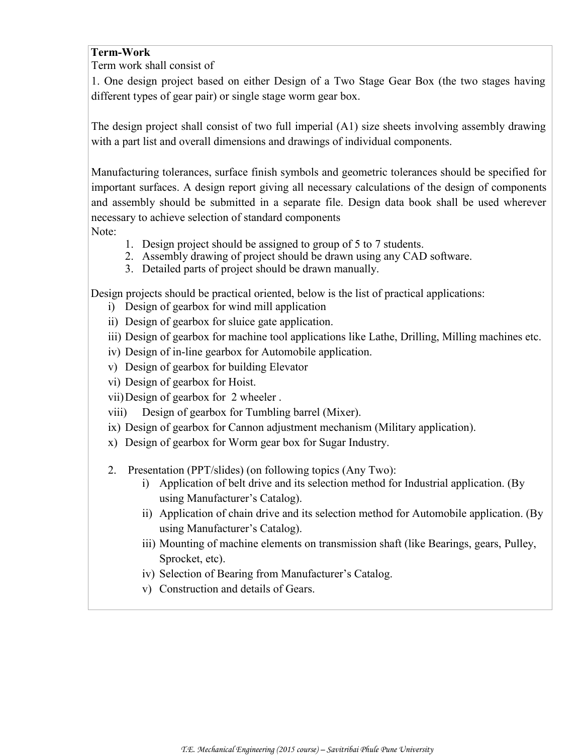#### **Term-Work**

Term work shall consist of

1. One design project based on either Design of a Two Stage Gear Box (the two stages having different types of gear pair) or single stage worm gear box.

The design project shall consist of two full imperial (A1) size sheets involving assembly drawing with a part list and overall dimensions and drawings of individual components.

Manufacturing tolerances, surface finish symbols and geometric tolerances should be specified for important surfaces. A design report giving all necessary calculations of the design of components and assembly should be submitted in a separate file. Design data book shall be used wherever necessary to achieve selection of standard components

Note:

- 1. Design project should be assigned to group of 5 to 7 students.
- 2. Assembly drawing of project should be drawn using any CAD software.
- 3. Detailed parts of project should be drawn manually.

Design projects should be practical oriented, below is the list of practical applications:

- i) Design of gearbox for wind mill application
- ii) Design of gearbox for sluice gate application.
- iii) Design of gearbox for machine tool applications like Lathe, Drilling, Milling machines etc.
- iv) Design of in-line gearbox for Automobile application.
- v) Design of gearbox for building Elevator
- vi) Design of gearbox for Hoist.
- vii)Design of gearbox for 2 wheeler .
- viii) Design of gearbox for Tumbling barrel (Mixer).
- ix) Design of gearbox for Cannon adjustment mechanism (Military application).
- x) Design of gearbox for Worm gear box for Sugar Industry.
- 2. Presentation (PPT/slides) (on following topics (Any Two):
	- i) Application of belt drive and its selection method for Industrial application. (By using Manufacturer's Catalog).
	- ii) Application of chain drive and its selection method for Automobile application. (By using Manufacturer's Catalog).
	- iii) Mounting of machine elements on transmission shaft (like Bearings, gears, Pulley, Sprocket, etc).
	- iv) Selection of Bearing from Manufacturer's Catalog.
	- v) Construction and details of Gears.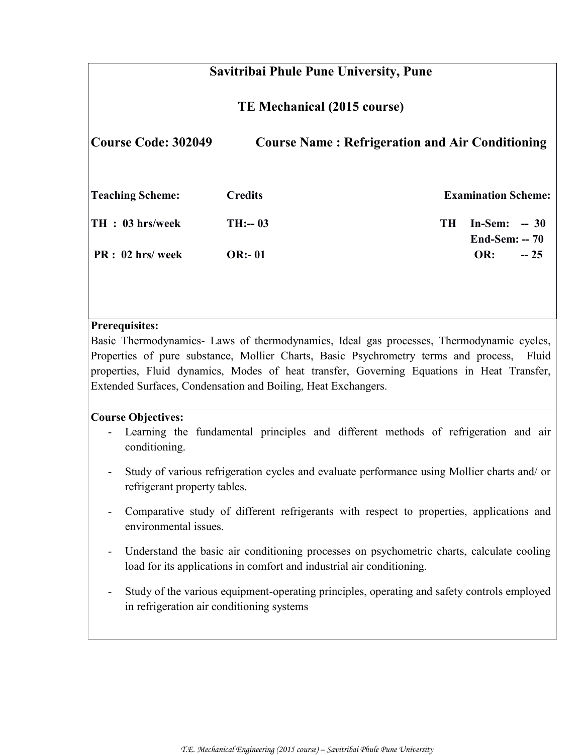# **Savitribai Phule Pune University, Pune TE Mechanical (2015 course) Course Code: 302049 Course Name : Refrigeration and Air Conditioning Teaching Scheme: Credits Examination Scheme: TH : 03 hrs/week TH:-- 03 TH In-Sem: -- 30 End-Sem: -- 70 PR : 02 hrs/ week OR:- 01 OR: -- 25**

#### **Prerequisites:**

Basic Thermodynamics- Laws of thermodynamics, Ideal gas processes, Thermodynamic cycles, Properties of pure substance, Mollier Charts, Basic Psychrometry terms and process, Fluid properties, Fluid dynamics, Modes of heat transfer, Governing Equations in Heat Transfer, Extended Surfaces, Condensation and Boiling, Heat Exchangers.

#### **Course Objectives:**

- Learning the fundamental principles and different methods of refrigeration and air conditioning.
- Study of various refrigeration cycles and evaluate performance using Mollier charts and/ or refrigerant property tables.
- Comparative study of different refrigerants with respect to properties, applications and environmental issues.
- Understand the basic air conditioning processes on psychometric charts, calculate cooling load for its applications in comfort and industrial air conditioning.
- Study of the various equipment-operating principles, operating and safety controls employed in refrigeration air conditioning systems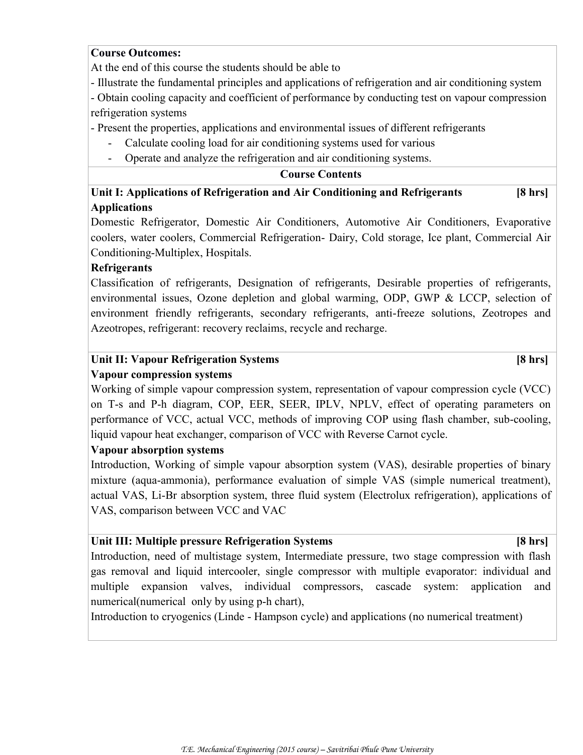#### **Course Outcomes:**

At the end of this course the students should be able to

- Illustrate the fundamental principles and applications of refrigeration and air conditioning system - Obtain cooling capacity and coefficient of performance by conducting test on vapour compression refrigeration systems

- Present the properties, applications and environmental issues of different refrigerants

- Calculate cooling load for air conditioning systems used for various
- Operate and analyze the refrigeration and air conditioning systems.

#### **Course Contents**

# **Unit I: Applications of Refrigeration and Air Conditioning and Refrigerants [8 hrs] Applications**

Domestic Refrigerator, Domestic Air Conditioners, Automotive Air Conditioners, Evaporative coolers, water coolers, Commercial Refrigeration- Dairy, Cold storage, Ice plant, Commercial Air Conditioning-Multiplex, Hospitals.

#### **Refrigerants**

Classification of refrigerants, Designation of refrigerants, Desirable properties of refrigerants, environmental issues, Ozone depletion and global warming, ODP, GWP & LCCP, selection of environment friendly refrigerants, secondary refrigerants, anti-freeze solutions, Zeotropes and Azeotropes, refrigerant: recovery reclaims, recycle and recharge.

# Unit II: Vapour Refrigeration Systems **[8 hrs]**

#### **Vapour compression systems**

Working of simple vapour compression system, representation of vapour compression cycle (VCC) on T-s and P-h diagram, COP, EER, SEER, IPLV, NPLV, effect of operating parameters on performance of VCC, actual VCC, methods of improving COP using flash chamber, sub-cooling, liquid vapour heat exchanger, comparison of VCC with Reverse Carnot cycle.

#### **Vapour absorption systems**

Introduction, Working of simple vapour absorption system (VAS), desirable properties of binary mixture (aqua-ammonia), performance evaluation of simple VAS (simple numerical treatment), actual VAS, Li-Br absorption system, three fluid system (Electrolux refrigeration), applications of VAS, comparison between VCC and VAC

#### **Unit III: Multiple pressure Refrigeration Systems [8 hrs]**

Introduction, need of multistage system, Intermediate pressure, two stage compression with flash gas removal and liquid intercooler, single compressor with multiple evaporator: individual and multiple expansion valves, individual compressors, cascade system: application and numerical(numerical only by using p-h chart),

Introduction to cryogenics (Linde - Hampson cycle) and applications (no numerical treatment)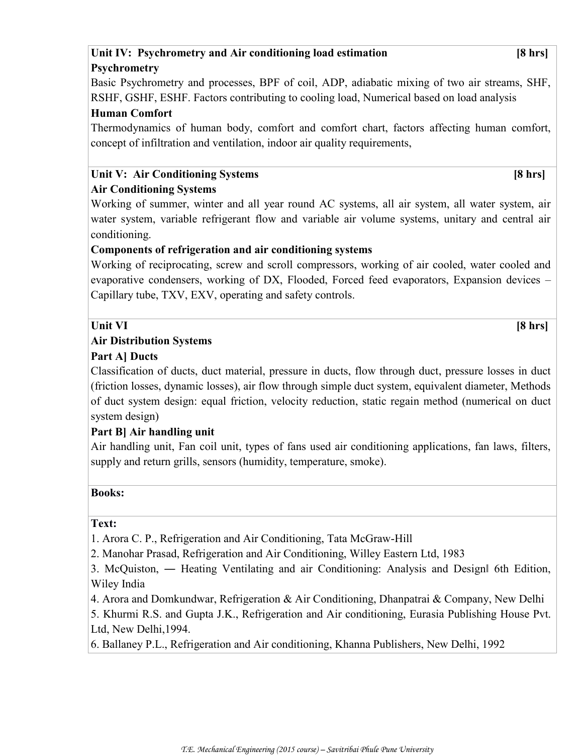### **Unit IV: Psychrometry and Air conditioning load estimation [8 hrs] Psychrometry**

Basic Psychrometry and processes, BPF of coil, ADP, adiabatic mixing of two air streams, SHF, RSHF, GSHF, ESHF. Factors contributing to cooling load, Numerical based on load analysis

#### **Human Comfort**

Thermodynamics of human body, comfort and comfort chart, factors affecting human comfort, concept of infiltration and ventilation, indoor air quality requirements,

#### Unit V: Air Conditioning Systems **[8 hrs]**

# **Air Conditioning Systems**

Working of summer, winter and all year round AC systems, all air system, all water system, air water system, variable refrigerant flow and variable air volume systems, unitary and central air conditioning.

#### **Components of refrigeration and air conditioning systems**

Working of reciprocating, screw and scroll compressors, working of air cooled, water cooled and evaporative condensers, working of DX, Flooded, Forced feed evaporators, Expansion devices – Capillary tube, TXV, EXV, operating and safety controls.

### **Unit VI [8 hrs]**

### **Air Distribution Systems**

#### **Part A] Ducts**

Classification of ducts, duct material, pressure in ducts, flow through duct, pressure losses in duct (friction losses, dynamic losses), air flow through simple duct system, equivalent diameter, Methods of duct system design: equal friction, velocity reduction, static regain method (numerical on duct system design)

# **Part B] Air handling unit**

Air handling unit, Fan coil unit, types of fans used air conditioning applications, fan laws, filters, supply and return grills, sensors (humidity, temperature, smoke).

#### **Books:**

#### **Text:**

1. Arora C. P., Refrigeration and Air Conditioning, Tata McGraw-Hill

2. Manohar Prasad, Refrigeration and Air Conditioning, Willey Eastern Ltd, 1983

3. McQuiston, — Heating Ventilating and air Conditioning: Analysis and Designl 6th Edition, Wiley India

4. Arora and Domkundwar, Refrigeration & Air Conditioning, Dhanpatrai & Company, New Delhi

5. Khurmi R.S. and Gupta J.K., Refrigeration and Air conditioning, Eurasia Publishing House Pvt. Ltd, New Delhi,1994.

6. Ballaney P.L., Refrigeration and Air conditioning, Khanna Publishers, New Delhi, 1992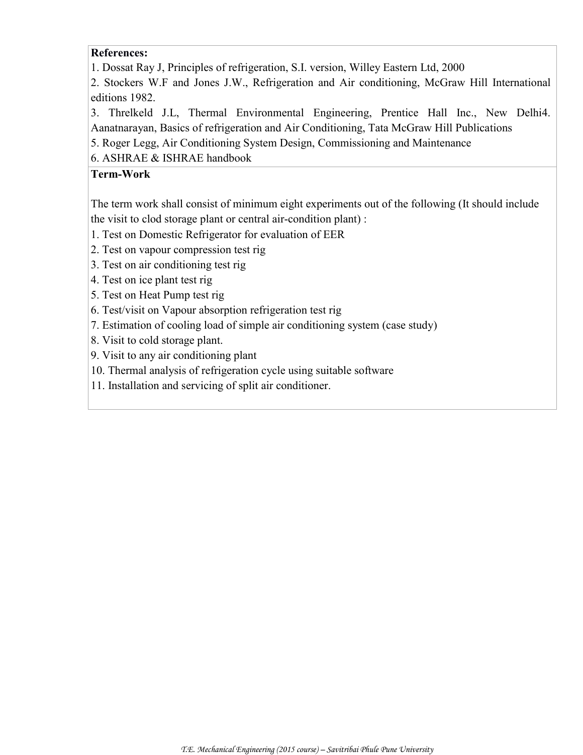#### **References:**

1. Dossat Ray J, Principles of refrigeration, S.I. version, Willey Eastern Ltd, 2000

2. Stockers W.F and Jones J.W., Refrigeration and Air conditioning, McGraw Hill International editions 1982.

3. Threlkeld J.L, Thermal Environmental Engineering, Prentice Hall Inc., New Delhi4. Aanatnarayan, Basics of refrigeration and Air Conditioning, Tata McGraw Hill Publications

- 5. Roger Legg, Air Conditioning System Design, Commissioning and Maintenance
- 6. ASHRAE & ISHRAE handbook

### **Term-Work**

The term work shall consist of minimum eight experiments out of the following (It should include the visit to clod storage plant or central air-condition plant) :

- 1. Test on Domestic Refrigerator for evaluation of EER
- 2. Test on vapour compression test rig
- 3. Test on air conditioning test rig
- 4. Test on ice plant test rig
- 5. Test on Heat Pump test rig
- 6. Test/visit on Vapour absorption refrigeration test rig
- 7. Estimation of cooling load of simple air conditioning system (case study)
- 8. Visit to cold storage plant.
- 9. Visit to any air conditioning plant
- 10. Thermal analysis of refrigeration cycle using suitable software
- 11. Installation and servicing of split air conditioner.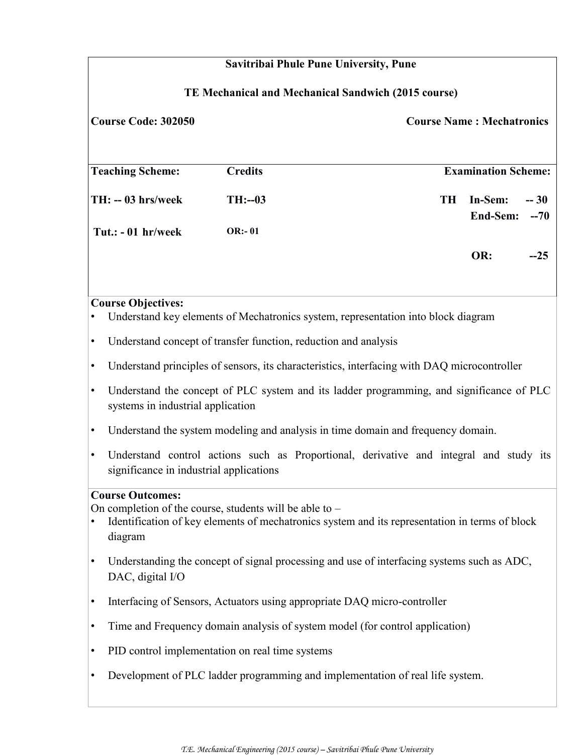|           | Savitribai Phule Pune University, Pune                                                          |                |                                                                                                |           |                                  |       |  |
|-----------|-------------------------------------------------------------------------------------------------|----------------|------------------------------------------------------------------------------------------------|-----------|----------------------------------|-------|--|
|           | TE Mechanical and Mechanical Sandwich (2015 course)                                             |                |                                                                                                |           |                                  |       |  |
|           | <b>Course Code: 302050</b>                                                                      |                |                                                                                                |           | <b>Course Name: Mechatronics</b> |       |  |
|           |                                                                                                 |                |                                                                                                |           |                                  |       |  |
|           | <b>Teaching Scheme:</b>                                                                         | <b>Credits</b> |                                                                                                |           | <b>Examination Scheme:</b>       |       |  |
|           | TH: -- 03 hrs/week                                                                              | $TH: -03$      |                                                                                                | <b>TH</b> | In-Sem:                          | $-30$ |  |
|           | Tut.: $-01$ hr/week                                                                             | <b>OR:-01</b>  |                                                                                                |           | End-Sem:                         | $-70$ |  |
|           |                                                                                                 |                |                                                                                                |           | OR:                              |       |  |
|           |                                                                                                 |                |                                                                                                |           |                                  | $-25$ |  |
|           | <b>Course Objectives:</b>                                                                       |                |                                                                                                |           |                                  |       |  |
|           |                                                                                                 |                | Understand key elements of Mechatronics system, representation into block diagram              |           |                                  |       |  |
| $\bullet$ | Understand concept of transfer function, reduction and analysis                                 |                |                                                                                                |           |                                  |       |  |
| $\bullet$ |                                                                                                 |                | Understand principles of sensors, its characteristics, interfacing with DAQ microcontroller    |           |                                  |       |  |
| $\bullet$ | systems in industrial application                                                               |                | Understand the concept of PLC system and its ladder programming, and significance of PLC       |           |                                  |       |  |
| $\bullet$ |                                                                                                 |                | Understand the system modeling and analysis in time domain and frequency domain.               |           |                                  |       |  |
| $\bullet$ | significance in industrial applications                                                         |                | Understand control actions such as Proportional, derivative and integral and study its         |           |                                  |       |  |
|           | <b>Course Outcomes:</b><br>On completion of the course, students will be able to $-$<br>diagram |                | Identification of key elements of mechatronics system and its representation in terms of block |           |                                  |       |  |
|           | DAC, digital I/O                                                                                |                | Understanding the concept of signal processing and use of interfacing systems such as ADC,     |           |                                  |       |  |
| $\bullet$ |                                                                                                 |                | Interfacing of Sensors, Actuators using appropriate DAQ micro-controller                       |           |                                  |       |  |
| ٠         |                                                                                                 |                | Time and Frequency domain analysis of system model (for control application)                   |           |                                  |       |  |
| ٠         | PID control implementation on real time systems                                                 |                |                                                                                                |           |                                  |       |  |
|           |                                                                                                 |                | Development of PLC ladder programming and implementation of real life system.                  |           |                                  |       |  |
|           |                                                                                                 |                |                                                                                                |           |                                  |       |  |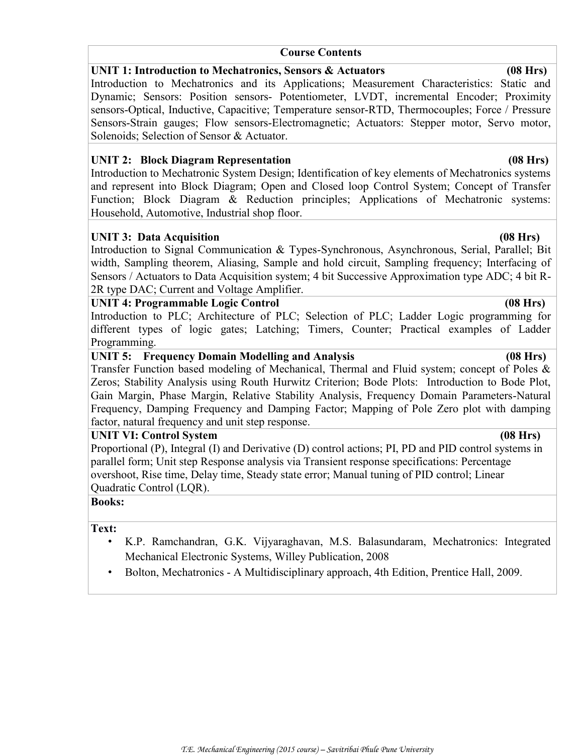#### **Course Contents**

#### **UNIT 1: Introduction to Mechatronics, Sensors & Actuators (08 Hrs)**

Introduction to Mechatronics and its Applications; Measurement Characteristics: Static and Dynamic; Sensors: Position sensors- Potentiometer, LVDT, incremental Encoder; Proximity sensors-Optical, Inductive, Capacitive; Temperature sensor-RTD, Thermocouples; Force / Pressure Sensors-Strain gauges; Flow sensors-Electromagnetic; Actuators: Stepper motor, Servo motor, Solenoids; Selection of Sensor & Actuator.

#### **UNIT 2: Block Diagram Representation (08 Hrs)**

Introduction to Mechatronic System Design; Identification of key elements of Mechatronics systems and represent into Block Diagram; Open and Closed loop Control System; Concept of Transfer Function; Block Diagram & Reduction principles; Applications of Mechatronic systems: Household, Automotive, Industrial shop floor.

#### UNIT 3: Data Acquisition (08 Hrs)

Introduction to Signal Communication & Types-Synchronous, Asynchronous, Serial, Parallel; Bit width, Sampling theorem, Aliasing, Sample and hold circuit, Sampling frequency; Interfacing of Sensors / Actuators to Data Acquisition system; 4 bit Successive Approximation type ADC; 4 bit R-2R type DAC; Current and Voltage Amplifier.

#### **UNIT 4: Programmable Logic Control (08 Hrs)**

Introduction to PLC; Architecture of PLC; Selection of PLC; Ladder Logic programming for different types of logic gates; Latching; Timers, Counter; Practical examples of Ladder Programming.

#### **UNIT 5: Frequency Domain Modelling and Analysis (08 Hrs)**

Transfer Function based modeling of Mechanical, Thermal and Fluid system; concept of Poles & Zeros; Stability Analysis using Routh Hurwitz Criterion; Bode Plots: Introduction to Bode Plot, Gain Margin, Phase Margin, Relative Stability Analysis, Frequency Domain Parameters-Natural Frequency, Damping Frequency and Damping Factor; Mapping of Pole Zero plot with damping factor, natural frequency and unit step response.

#### **UNIT VI: Control System (08 Hrs)**

Proportional (P), Integral (I) and Derivative (D) control actions; PI, PD and PID control systems in parallel form; Unit step Response analysis via Transient response specifications: Percentage overshoot, Rise time, Delay time, Steady state error; Manual tuning of PID control; Linear Quadratic Control (LQR).

# **Books:**

#### **Text:**

- K.P. Ramchandran, G.K. Vijyaraghavan, M.S. Balasundaram, Mechatronics: Integrated Mechanical Electronic Systems, Willey Publication, 2008
- Bolton, Mechatronics A Multidisciplinary approach, 4th Edition, Prentice Hall, 2009.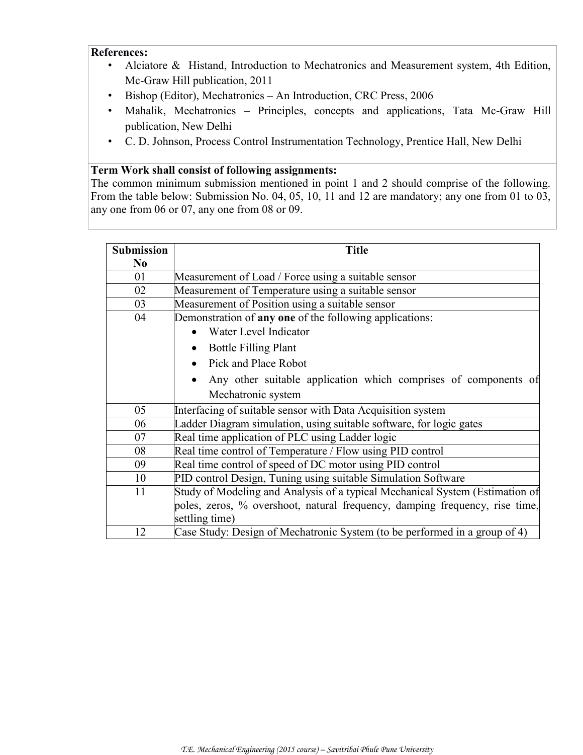#### **References:**

- Alciatore & Histand, Introduction to Mechatronics and Measurement system, 4th Edition, Mc-Graw Hill publication, 2011
- Bishop (Editor), Mechatronics An Introduction, CRC Press, 2006
- Mahalik, Mechatronics Principles, concepts and applications, Tata Mc-Graw Hill publication, New Delhi
- C. D. Johnson, Process Control Instrumentation Technology, Prentice Hall, New Delhi

#### **Term Work shall consist of following assignments:**

The common minimum submission mentioned in point 1 and 2 should comprise of the following. From the table below: Submission No. 04, 05, 10, 11 and 12 are mandatory; any one from 01 to 03, any one from 06 or 07, any one from 08 or 09.

| <b>Submission</b> | <b>Title</b>                                                                 |  |  |  |  |  |  |
|-------------------|------------------------------------------------------------------------------|--|--|--|--|--|--|
| N <sub>0</sub>    |                                                                              |  |  |  |  |  |  |
| 01                | Measurement of Load / Force using a suitable sensor                          |  |  |  |  |  |  |
| 02                | Measurement of Temperature using a suitable sensor                           |  |  |  |  |  |  |
| 03                | Measurement of Position using a suitable sensor                              |  |  |  |  |  |  |
| 04                | Demonstration of any one of the following applications:                      |  |  |  |  |  |  |
|                   | Water Level Indicator                                                        |  |  |  |  |  |  |
|                   | <b>Bottle Filling Plant</b>                                                  |  |  |  |  |  |  |
|                   | Pick and Place Robot                                                         |  |  |  |  |  |  |
|                   | Any other suitable application which comprises of components of              |  |  |  |  |  |  |
|                   | Mechatronic system                                                           |  |  |  |  |  |  |
| 05                | Interfacing of suitable sensor with Data Acquisition system                  |  |  |  |  |  |  |
| 06                | Ladder Diagram simulation, using suitable software, for logic gates          |  |  |  |  |  |  |
| 07                | Real time application of PLC using Ladder logic                              |  |  |  |  |  |  |
| 08                | Real time control of Temperature / Flow using PID control                    |  |  |  |  |  |  |
| 09                | Real time control of speed of DC motor using PID control                     |  |  |  |  |  |  |
| 10                | PID control Design, Tuning using suitable Simulation Software                |  |  |  |  |  |  |
| 11                | Study of Modeling and Analysis of a typical Mechanical System (Estimation of |  |  |  |  |  |  |
|                   | poles, zeros, % overshoot, natural frequency, damping frequency, rise time,  |  |  |  |  |  |  |
|                   | settling time)                                                               |  |  |  |  |  |  |
| 12                | Case Study: Design of Mechatronic System (to be performed in a group of 4)   |  |  |  |  |  |  |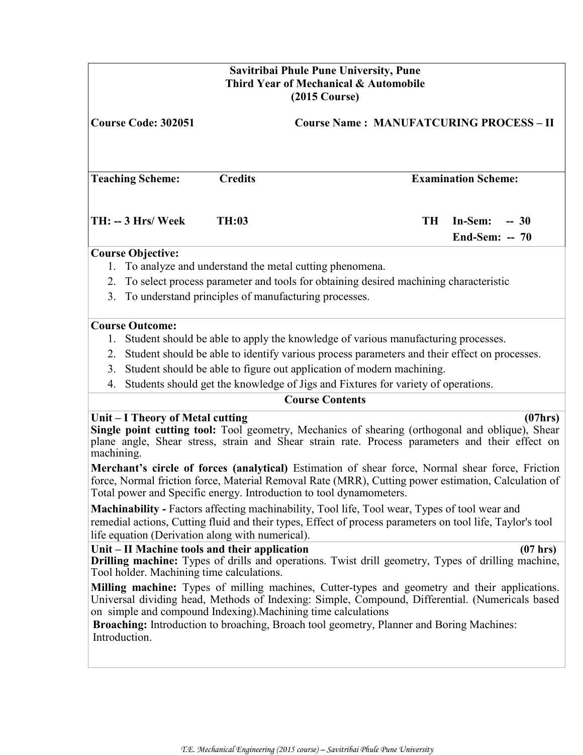|            | Savitribai Phule Pune University, Pune<br>Third Year of Mechanical & Automobile<br>$(2015 \text{ Course})$ |                |                                                                                                                                                                                                                                                                                                                                                                                                                                                                                      |                                    |  |  |  |
|------------|------------------------------------------------------------------------------------------------------------|----------------|--------------------------------------------------------------------------------------------------------------------------------------------------------------------------------------------------------------------------------------------------------------------------------------------------------------------------------------------------------------------------------------------------------------------------------------------------------------------------------------|------------------------------------|--|--|--|
|            | <b>Course Code: 302051</b><br><b>Course Name: MANUFATCURING PROCESS - II</b>                               |                |                                                                                                                                                                                                                                                                                                                                                                                                                                                                                      |                                    |  |  |  |
|            | <b>Teaching Scheme:</b>                                                                                    | <b>Credits</b> |                                                                                                                                                                                                                                                                                                                                                                                                                                                                                      | <b>Examination Scheme:</b>         |  |  |  |
|            | TH: -- 3 Hrs/ Week                                                                                         | <b>TH:03</b>   | <b>TH</b>                                                                                                                                                                                                                                                                                                                                                                                                                                                                            | In-Sem:<br>$-30$<br>End-Sem: $-70$ |  |  |  |
|            | <b>Course Objective:</b>                                                                                   |                |                                                                                                                                                                                                                                                                                                                                                                                                                                                                                      |                                    |  |  |  |
|            |                                                                                                            |                | 1. To analyze and understand the metal cutting phenomena.                                                                                                                                                                                                                                                                                                                                                                                                                            |                                    |  |  |  |
| 2.         |                                                                                                            |                | To select process parameter and tools for obtaining desired machining characteristic                                                                                                                                                                                                                                                                                                                                                                                                 |                                    |  |  |  |
| 3.         | To understand principles of manufacturing processes.                                                       |                |                                                                                                                                                                                                                                                                                                                                                                                                                                                                                      |                                    |  |  |  |
|            | <b>Course Outcome:</b>                                                                                     |                |                                                                                                                                                                                                                                                                                                                                                                                                                                                                                      |                                    |  |  |  |
|            |                                                                                                            |                | 1. Student should be able to apply the knowledge of various manufacturing processes.                                                                                                                                                                                                                                                                                                                                                                                                 |                                    |  |  |  |
| 2.         |                                                                                                            |                | Student should be able to identify various process parameters and their effect on processes.                                                                                                                                                                                                                                                                                                                                                                                         |                                    |  |  |  |
| 3.         |                                                                                                            |                | Student should be able to figure out application of modern machining.                                                                                                                                                                                                                                                                                                                                                                                                                |                                    |  |  |  |
| 4.         |                                                                                                            |                | Students should get the knowledge of Jigs and Fixtures for variety of operations.                                                                                                                                                                                                                                                                                                                                                                                                    |                                    |  |  |  |
|            |                                                                                                            |                | <b>Course Contents</b>                                                                                                                                                                                                                                                                                                                                                                                                                                                               |                                    |  |  |  |
| machining. | Unit – I Theory of Metal cutting                                                                           |                | Single point cutting tool: Tool geometry, Mechanics of shearing (orthogonal and oblique), Shear<br>plane angle, Shear stress, strain and Shear strain rate. Process parameters and their effect on<br>Merchant's circle of forces (analytical) Estimation of shear force, Normal shear force, Friction<br>force, Normal friction force, Material Removal Rate (MRR), Cutting power estimation, Calculation of<br>Total power and Specific energy. Introduction to tool dynamometers. | (07hrs)                            |  |  |  |
|            | life equation (Derivation along with numerical).                                                           |                | Machinability - Factors affecting machinability, Tool life, Tool wear, Types of tool wear and<br>remedial actions, Cutting fluid and their types, Effect of process parameters on tool life, Taylor's tool                                                                                                                                                                                                                                                                           |                                    |  |  |  |
|            | Unit – II Machine tools and their application<br>Tool holder. Machining time calculations.                 |                | <b>Drilling machine:</b> Types of drills and operations. Twist drill geometry, Types of drilling machine,                                                                                                                                                                                                                                                                                                                                                                            | $(07$ hrs)                         |  |  |  |
|            | Introduction.                                                                                              |                | Milling machine: Types of milling machines, Cutter-types and geometry and their applications.<br>Universal dividing head, Methods of Indexing: Simple, Compound, Differential. (Numericals based<br>on simple and compound Indexing). Machining time calculations<br>Broaching: Introduction to broaching, Broach tool geometry, Planner and Boring Machines:                                                                                                                        |                                    |  |  |  |
|            |                                                                                                            |                |                                                                                                                                                                                                                                                                                                                                                                                                                                                                                      |                                    |  |  |  |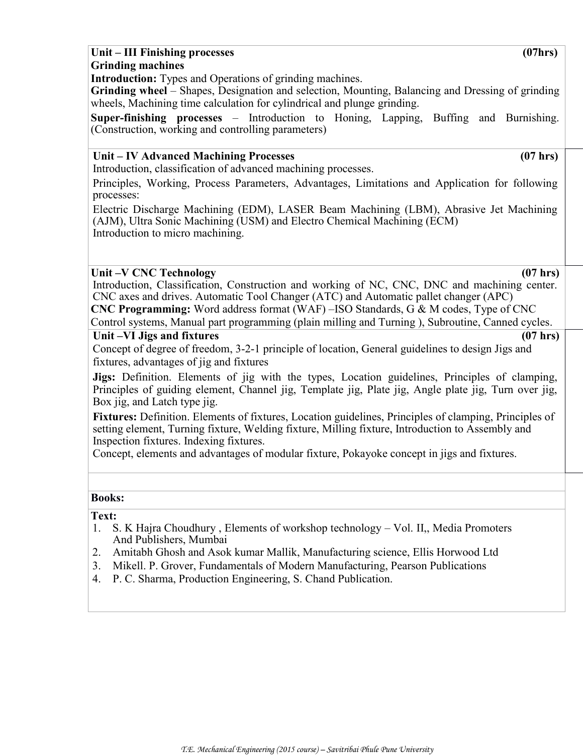#### **Unit – III Finishing processes (07hrs) Grinding machines**

**Introduction:** Types and Operations of grinding machines.

**Grinding wheel** – Shapes, Designation and selection, Mounting, Balancing and Dressing of grinding wheels, Machining time calculation for cylindrical and plunge grinding.

**Super-finishing processes** – Introduction to Honing, Lapping, Buffing and Burnishing. (Construction, working and controlling parameters)

#### **Unit – IV Advanced Machining Processes (07 hrs)**

Introduction, classification of advanced machining processes.

Principles, Working, Process Parameters, Advantages, Limitations and Application for following processes:

Electric Discharge Machining (EDM), LASER Beam Machining (LBM), Abrasive Jet Machining (AJM), Ultra Sonic Machining (USM) and Electro Chemical Machining (ECM) Introduction to micro machining.

#### **Unit –V CNC Technology (07 hrs)**

Introduction, Classification, Construction and working of NC, CNC, DNC and machining center. CNC axes and drives. Automatic Tool Changer (ATC) and Automatic pallet changer (APC) **CNC Programming:** Word address format (WAF) –ISO Standards, G & M codes, Type of CNC

# Control systems, Manual part programming (plain milling and Turning ), Subroutine, Canned cycles.

Unit –VI Jigs and fixtures (07 hrs)

Concept of degree of freedom, 3-2-1 principle of location, General guidelines to design Jigs and fixtures, advantages of jig and fixtures

**Jigs:** Definition. Elements of jig with the types, Location guidelines, Principles of clamping, Principles of guiding element, Channel jig, Template jig, Plate jig, Angle plate jig, Turn over jig, Box jig, and Latch type jig.

**Fixtures:** Definition. Elements of fixtures, Location guidelines, Principles of clamping, Principles of setting element, Turning fixture, Welding fixture, Milling fixture, Introduction to Assembly and Inspection fixtures. Indexing fixtures.

Concept, elements and advantages of modular fixture, Pokayoke concept in jigs and fixtures. *(07* 

#### **Books:**

#### **Text:**

- 1. S. K Hajra Choudhury , Elements of workshop technology Vol. II,, Media Promoters And Publishers, Mumbai
- 2. Amitabh Ghosh and Asok kumar Mallik, Manufacturing science, Ellis Horwood Ltd
- 3. Mikell. P. Grover, Fundamentals of Modern Manufacturing, Pearson Publications
- 4. P. C. Sharma, Production Engineering, S. Chand Publication.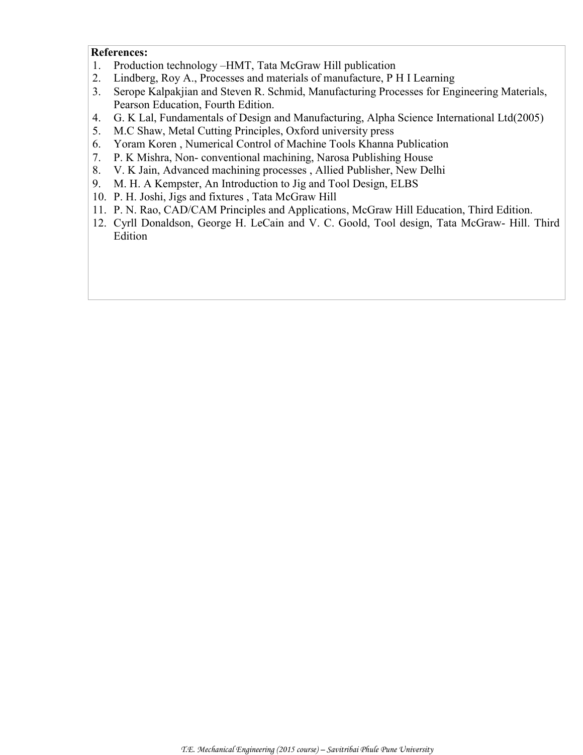#### **References:**

- 1. Production technology –HMT, Tata McGraw Hill publication
- 2. Lindberg, Roy A., Processes and materials of manufacture, P H I Learning
- 3. Serope Kalpakjian and Steven R. Schmid, Manufacturing Processes for Engineering Materials, Pearson Education, Fourth Edition.
- 4. G. K Lal, Fundamentals of Design and Manufacturing, Alpha Science International Ltd(2005)
- 5. M.C Shaw, Metal Cutting Principles, Oxford university press
- 6. Yoram Koren , Numerical Control of Machine Tools Khanna Publication
- 7. P. K Mishra, Non- conventional machining, Narosa Publishing House
- 8. V. K Jain, Advanced machining processes , Allied Publisher, New Delhi
- 9. M. H. A Kempster, An Introduction to Jig and Tool Design, ELBS
- 10. P. H. Joshi, Jigs and fixtures , Tata McGraw Hill
- 11. P. N. Rao, CAD/CAM Principles and Applications, McGraw Hill Education, Third Edition.
- 12. Cyrll Donaldson, George H. LeCain and V. C. Goold, Tool design, Tata McGraw- Hill. Third Edition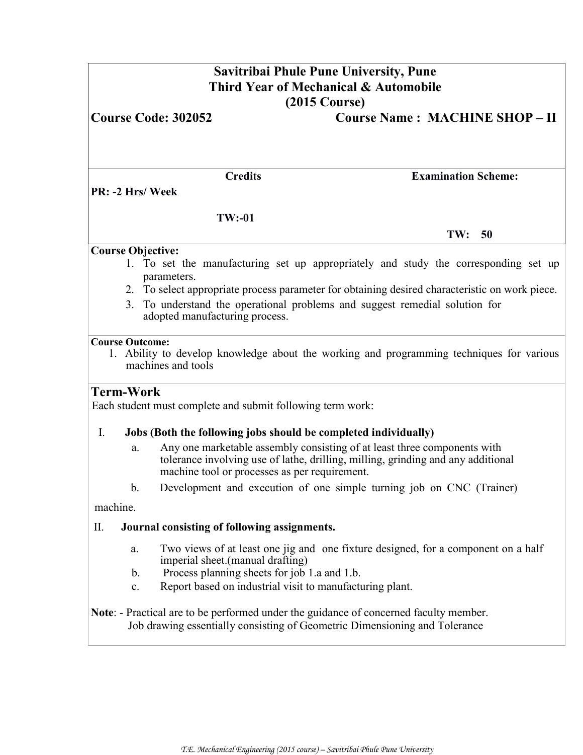| Savitribai Phule Pune University, Pune<br>Third Year of Mechanical & Automobile<br>$(2015 \text{ Course})$ |                                                                 |                                                                                                                                                                            |  |  |  |
|------------------------------------------------------------------------------------------------------------|-----------------------------------------------------------------|----------------------------------------------------------------------------------------------------------------------------------------------------------------------------|--|--|--|
|                                                                                                            | <b>Course Code: 302052</b>                                      | <b>Course Name: MACHINE SHOP - II</b>                                                                                                                                      |  |  |  |
|                                                                                                            | <b>Credits</b>                                                  | <b>Examination Scheme:</b>                                                                                                                                                 |  |  |  |
|                                                                                                            | PR: -2 Hrs/Week                                                 |                                                                                                                                                                            |  |  |  |
|                                                                                                            | $TW: -01$                                                       |                                                                                                                                                                            |  |  |  |
|                                                                                                            |                                                                 | TW: 50                                                                                                                                                                     |  |  |  |
|                                                                                                            | <b>Course Objective:</b><br>parameters.                         | 1. To set the manufacturing set–up appropriately and study the corresponding set up                                                                                        |  |  |  |
| 3.                                                                                                         | adopted manufacturing process.                                  | 2. To select appropriate process parameter for obtaining desired characteristic on work piece.<br>To understand the operational problems and suggest remedial solution for |  |  |  |
| <b>Course Outcome:</b>                                                                                     | machines and tools                                              | 1. Ability to develop knowledge about the working and programming techniques for various                                                                                   |  |  |  |
| <b>Term-Work</b>                                                                                           | Each student must complete and submit following term work:      |                                                                                                                                                                            |  |  |  |
| Ι.                                                                                                         | Jobs (Both the following jobs should be completed individually) |                                                                                                                                                                            |  |  |  |
|                                                                                                            | a.<br>machine tool or processes as per requirement.             | Any one marketable assembly consisting of at least three components with<br>tolerance involving use of lathe, drilling, milling, grinding and any additional               |  |  |  |
|                                                                                                            | b.                                                              | Development and execution of one simple turning job on CNC (Trainer)                                                                                                       |  |  |  |
| machine.                                                                                                   |                                                                 |                                                                                                                                                                            |  |  |  |
| П.                                                                                                         | Journal consisting of following assignments.                    |                                                                                                                                                                            |  |  |  |
|                                                                                                            | a.<br>imperial sheet.(manual drafting)                          | Two views of at least one jig and one fixture designed, for a component on a half                                                                                          |  |  |  |
|                                                                                                            | Process planning sheets for job 1.a and 1.b.<br>b.              |                                                                                                                                                                            |  |  |  |
|                                                                                                            | c.                                                              | Report based on industrial visit to manufacturing plant.                                                                                                                   |  |  |  |
|                                                                                                            |                                                                 | Note: - Practical are to be performed under the guidance of concerned faculty member.<br>Job drawing essentially consisting of Geometric Dimensioning and Tolerance        |  |  |  |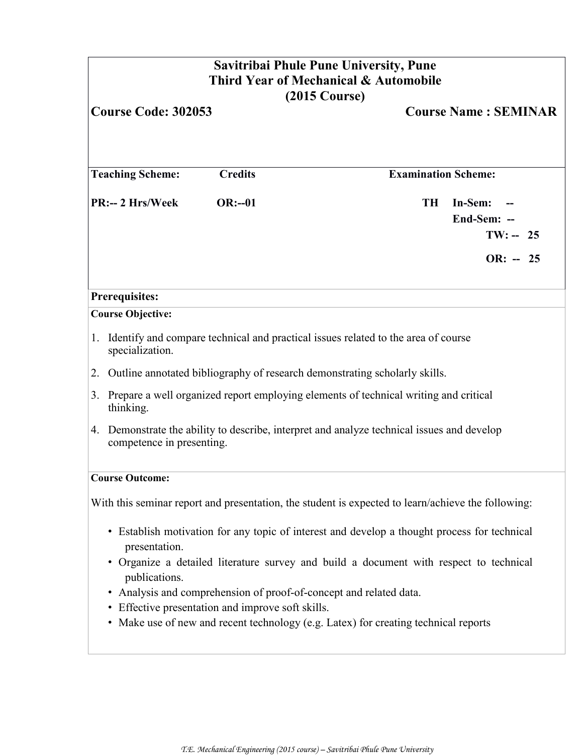| <b>Savitribai Phule Pune University, Pune</b><br>Third Year of Mechanical & Automobile<br>$(2015 \text{ Course})$<br><b>Course Code: 302053</b><br><b>Course Name: SEMINAR</b> |                                                                                                         |                                                                                                                                          |  |                            |                                                    |  |
|--------------------------------------------------------------------------------------------------------------------------------------------------------------------------------|---------------------------------------------------------------------------------------------------------|------------------------------------------------------------------------------------------------------------------------------------------|--|----------------------------|----------------------------------------------------|--|
|                                                                                                                                                                                |                                                                                                         |                                                                                                                                          |  |                            |                                                    |  |
|                                                                                                                                                                                | <b>Teaching Scheme:</b>                                                                                 | <b>Credits</b>                                                                                                                           |  | <b>Examination Scheme:</b> |                                                    |  |
|                                                                                                                                                                                | PR:-- 2 Hrs/Week                                                                                        | $OR:-01$                                                                                                                                 |  | <b>TH</b>                  | In-Sem:<br>End-Sem: --<br>$TW: -- 25$<br>$OR: -25$ |  |
| <b>Prerequisites:</b>                                                                                                                                                          |                                                                                                         |                                                                                                                                          |  |                            |                                                    |  |
|                                                                                                                                                                                | <b>Course Objective:</b>                                                                                |                                                                                                                                          |  |                            |                                                    |  |
|                                                                                                                                                                                | specialization.                                                                                         | 1. Identify and compare technical and practical issues related to the area of course                                                     |  |                            |                                                    |  |
|                                                                                                                                                                                |                                                                                                         | 2. Outline annotated bibliography of research demonstrating scholarly skills.                                                            |  |                            |                                                    |  |
|                                                                                                                                                                                | 3. Prepare a well organized report employing elements of technical writing and critical<br>thinking.    |                                                                                                                                          |  |                            |                                                    |  |
| 4. Demonstrate the ability to describe, interpret and analyze technical issues and develop<br>competence in presenting.                                                        |                                                                                                         |                                                                                                                                          |  |                            |                                                    |  |
|                                                                                                                                                                                | <b>Course Outcome:</b>                                                                                  |                                                                                                                                          |  |                            |                                                    |  |
|                                                                                                                                                                                |                                                                                                         | With this seminar report and presentation, the student is expected to learn/achieve the following:                                       |  |                            |                                                    |  |
| • Establish motivation for any topic of interest and develop a thought process for technical<br>presentation.                                                                  |                                                                                                         |                                                                                                                                          |  |                            |                                                    |  |
|                                                                                                                                                                                | • Organize a detailed literature survey and build a document with respect to technical<br>publications. |                                                                                                                                          |  |                            |                                                    |  |
|                                                                                                                                                                                |                                                                                                         | • Analysis and comprehension of proof-of-concept and related data.                                                                       |  |                            |                                                    |  |
|                                                                                                                                                                                |                                                                                                         | • Effective presentation and improve soft skills.<br>• Make use of new and recent technology (e.g. Latex) for creating technical reports |  |                            |                                                    |  |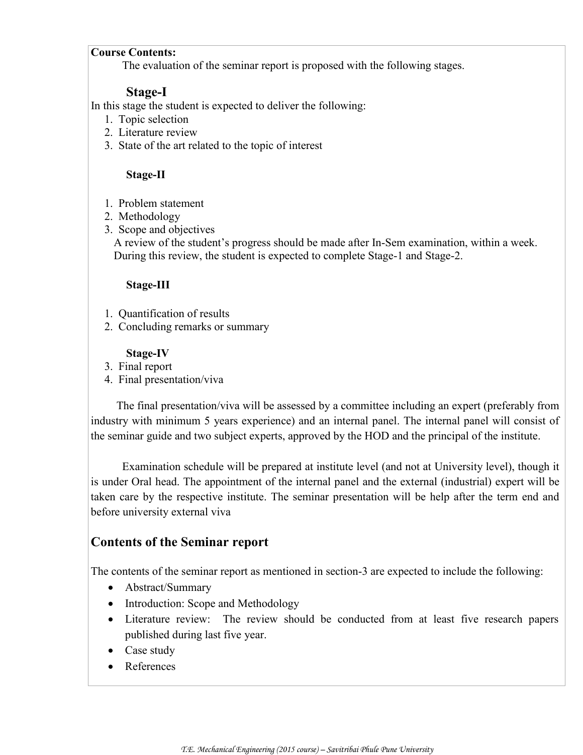#### **Course Contents:**

The evaluation of the seminar report is proposed with the following stages.

#### **Stage-I**

In this stage the student is expected to deliver the following:

- 1. Topic selection
- 2. Literature review
- 3. State of the art related to the topic of interest

#### **Stage-II**

- 1. Problem statement
- 2. Methodology
- 3. Scope and objectives

 A review of the student's progress should be made after In-Sem examination, within a week. During this review, the student is expected to complete Stage-1 and Stage-2.

#### **Stage-III**

- 1. Quantification of results
- 2. Concluding remarks or summary

#### **Stage-IV**

- 3. Final report
- 4. Final presentation/viva

 The final presentation/viva will be assessed by a committee including an expert (preferably from industry with minimum 5 years experience) and an internal panel. The internal panel will consist of the seminar guide and two subject experts, approved by the HOD and the principal of the institute.

 Examination schedule will be prepared at institute level (and not at University level), though it is under Oral head. The appointment of the internal panel and the external (industrial) expert will be taken care by the respective institute. The seminar presentation will be help after the term end and before university external viva

# **Contents of the Seminar report**

The contents of the seminar report as mentioned in section-3 are expected to include the following:

- Abstract/Summary
- Introduction: Scope and Methodology
- Literature review: The review should be conducted from at least five research papers published during last five year.
- Case study
- References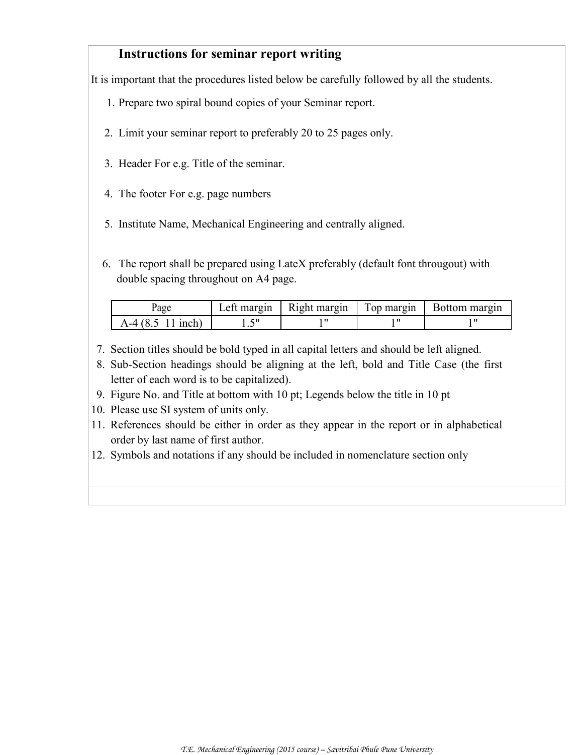# **Instructions for seminar report writing**

It is important that the procedures listed below be carefully followed by all the students.

- 1. Prepare two spiral bound copies of your Seminar report.
- 2. Limit your seminar report to preferably 20 to 25 pages only.
- 3. Header For e.g. Title of the seminar.
- 4. The footer For e.g. page numbers
- 5. Institute Name, Mechanical Engineering and centrally aligned.
- 6. The report shall be prepared using LateX preferably (default font througout) with double spacing throughout on A4 page.

| age                 |  | Left margin   Right margin   Top margin   Bottom margin |
|---------------------|--|---------------------------------------------------------|
| $A-4$ (8.5 11 inch) |  |                                                         |

- 7. Section titles should be bold typed in all capital letters and should be left aligned.
- 8. Sub-Section headings should be aligning at the left, bold and Title Case (the first letter of each word is to be capitalized).
- 9. Figure No. and Title at bottom with 10 pt; Legends below the title in 10 pt
- 10. Please use SI system of units only.
- 11. References should be either in order as they appear in the report or in alphabetical order by last name of first author.
- 12. Symbols and notations if any should be included in nomenclature section only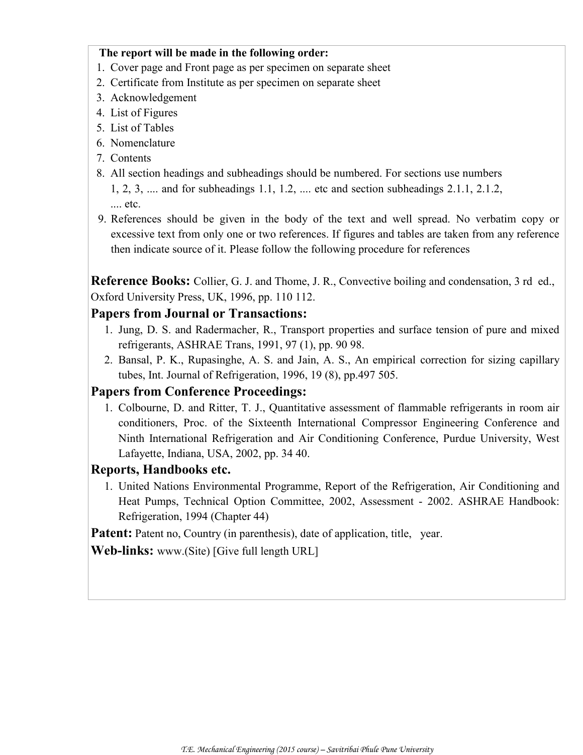#### **The report will be made in the following order:**

- 1. Cover page and Front page as per specimen on separate sheet
- 2. Certificate from Institute as per specimen on separate sheet
- 3. Acknowledgement
- 4. List of Figures
- 5. List of Tables
- 6. Nomenclature
- 7. Contents
- 8. All section headings and subheadings should be numbered. For sections use numbers 1, 2, 3, .... and for subheadings 1.1, 1.2, .... etc and section subheadings 2.1.1, 2.1.2, .... etc.
- 9. References should be given in the body of the text and well spread. No verbatim copy or excessive text from only one or two references. If figures and tables are taken from any reference then indicate source of it. Please follow the following procedure for references

**Reference Books:** Collier, G. J. and Thome, J. R., Convective boiling and condensation, 3 rd ed., Oxford University Press, UK, 1996, pp. 110 112.

# **Papers from Journal or Transactions:**

- 1. Jung, D. S. and Radermacher, R., Transport properties and surface tension of pure and mixed refrigerants, ASHRAE Trans, 1991, 97 (1), pp. 90 98.
- 2. Bansal, P. K., Rupasinghe, A. S. and Jain, A. S., An empirical correction for sizing capillary tubes, Int. Journal of Refrigeration, 1996, 19 (8), pp.497 505.

# **Papers from Conference Proceedings:**

1. Colbourne, D. and Ritter, T. J., Quantitative assessment of flammable refrigerants in room air conditioners, Proc. of the Sixteenth International Compressor Engineering Conference and Ninth International Refrigeration and Air Conditioning Conference, Purdue University, West Lafayette, Indiana, USA, 2002, pp. 34 40.

# **Reports, Handbooks etc.**

1. United Nations Environmental Programme, Report of the Refrigeration, Air Conditioning and Heat Pumps, Technical Option Committee, 2002, Assessment - 2002. ASHRAE Handbook: Refrigeration, 1994 (Chapter 44)

**Patent:** Patent no, Country (in parenthesis), date of application, title, year.

**Web-links:** www.(Site) [Give full length URL]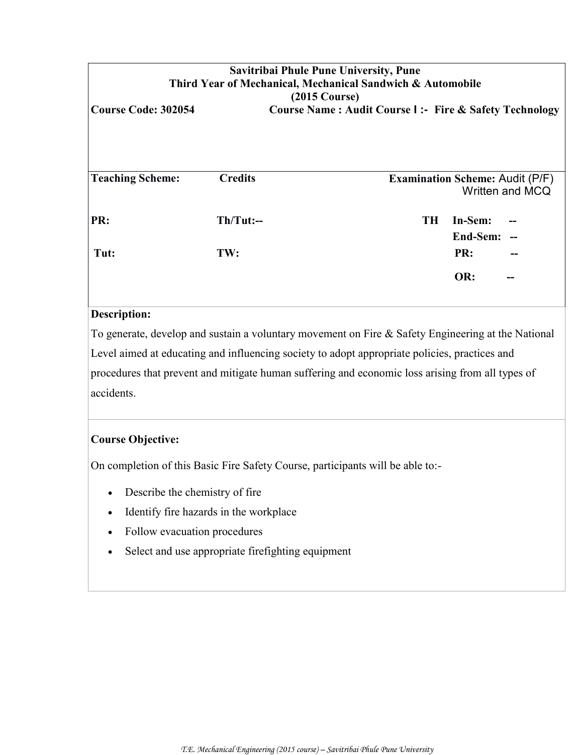| Savitribai Phule Pune University, Pune<br>Third Year of Mechanical, Mechanical Sandwich & Automobile                       |                |                                        |                     |                 |  |  |
|----------------------------------------------------------------------------------------------------------------------------|----------------|----------------------------------------|---------------------|-----------------|--|--|
| $(2015 \text{ Course})$<br><b>Course Code: 302054</b><br><b>Course Name: Audit Course I:- Fire &amp; Safety Technology</b> |                |                                        |                     |                 |  |  |
|                                                                                                                            |                |                                        |                     |                 |  |  |
| <b>Teaching Scheme:</b>                                                                                                    | <b>Credits</b> | <b>Examination Scheme: Audit (P/F)</b> |                     | Written and MCQ |  |  |
| PR:                                                                                                                        | $Th/Tut:-$     | <b>TH</b>                              | In-Sem:<br>End-Sem: |                 |  |  |
| Tut:                                                                                                                       | TW:            |                                        | PR:                 |                 |  |  |
|                                                                                                                            |                |                                        | OR:                 | --              |  |  |
| Description:                                                                                                               |                |                                        |                     |                 |  |  |

To generate, develop and sustain a voluntary movement on Fire & Safety Engineering at the National Level aimed at educating and influencing society to adopt appropriate policies, practices and procedures that prevent and mitigate human suffering and economic loss arising from all types of accidents.

# **Course Objective:**

On completion of this Basic Fire Safety Course, participants will be able to:-

- Describe the chemistry of fire
- Identify fire hazards in the workplace
- Follow evacuation procedures
- Select and use appropriate firefighting equipment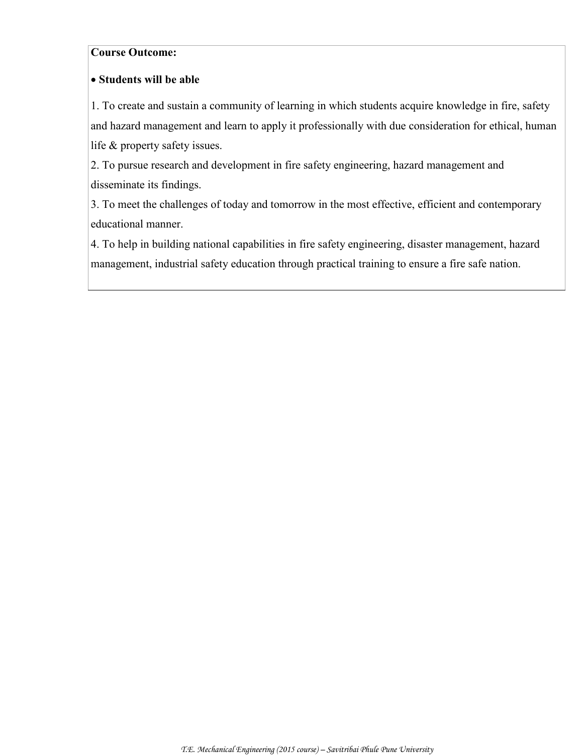#### **Course Outcome:**

#### **Students will be able**

1. To create and sustain a community of learning in which students acquire knowledge in fire, safety and hazard management and learn to apply it professionally with due consideration for ethical, human life & property safety issues.

2. To pursue research and development in fire safety engineering, hazard management and disseminate its findings.

3. To meet the challenges of today and tomorrow in the most effective, efficient and contemporary educational manner.

4. To help in building national capabilities in fire safety engineering, disaster management, hazard management, industrial safety education through practical training to ensure a fire safe nation.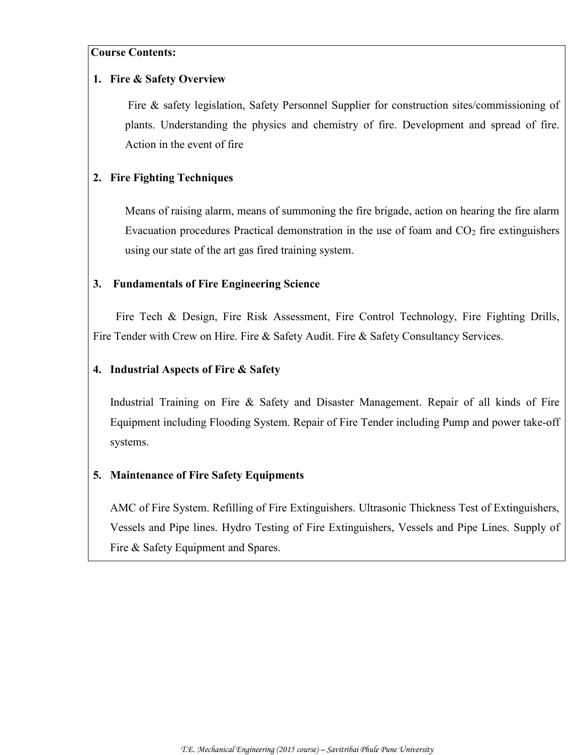#### **Course Contents:**

#### **1. Fire & Safety Overview**

Fire & safety legislation, Safety Personnel Supplier for construction sites/commissioning of plants. Understanding the physics and chemistry of fire. Development and spread of fire. Action in the event of fire

### **2. Fire Fighting Techniques**

Means of raising alarm, means of summoning the fire brigade, action on hearing the fire alarm Evacuation procedures Practical demonstration in the use of foam and  $CO<sub>2</sub>$  fire extinguishers using our state of the art gas fired training system.

#### **3. Fundamentals of Fire Engineering Science**

 Fire Tech & Design, Fire Risk Assessment, Fire Control Technology, Fire Fighting Drills, Fire Tender with Crew on Hire. Fire & Safety Audit. Fire & Safety Consultancy Services.

#### **4. Industrial Aspects of Fire & Safety**

Industrial Training on Fire & Safety and Disaster Management. Repair of all kinds of Fire Equipment including Flooding System. Repair of Fire Tender including Pump and power take-off systems.

#### **5. Maintenance of Fire Safety Equipments**

AMC of Fire System. Refilling of Fire Extinguishers. Ultrasonic Thickness Test of Extinguishers, Vessels and Pipe lines. Hydro Testing of Fire Extinguishers, Vessels and Pipe Lines. Supply of Fire & Safety Equipment and Spares.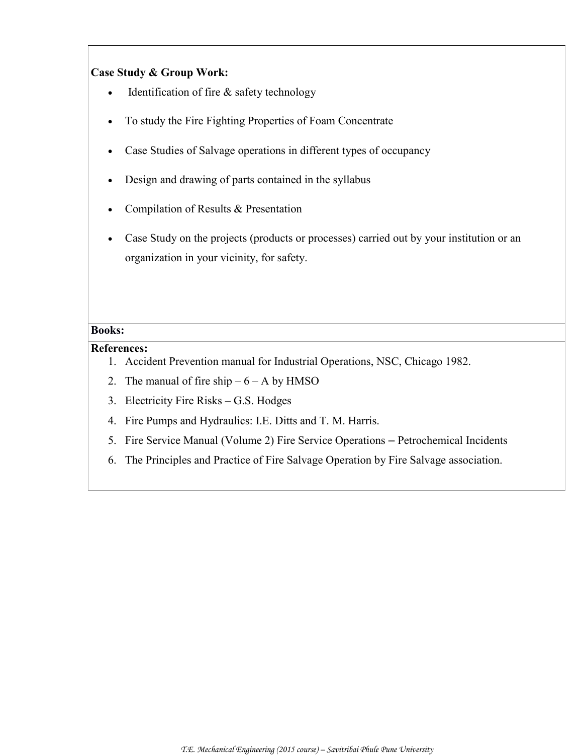#### **Case Study & Group Work:**

- Identification of fire & safety technology
- To study the Fire Fighting Properties of Foam Concentrate
- Case Studies of Salvage operations in different types of occupancy
- Design and drawing of parts contained in the syllabus
- Compilation of Results & Presentation
- Case Study on the projects (products or processes) carried out by your institution or an organization in your vicinity, for safety.

#### **Books:**

#### **References:**

- 1. Accident Prevention manual for Industrial Operations, NSC, Chicago 1982.
- 2. The manual of fire ship  $-6 A$  by HMSO
- 3. Electricity Fire Risks G.S. Hodges
- 4. Fire Pumps and Hydraulics: I.E. Ditts and T. M. Harris.
- 5. Fire Service Manual (Volume 2) Fire Service Operations Petrochemical Incidents
- 6. The Principles and Practice of Fire Salvage Operation by Fire Salvage association.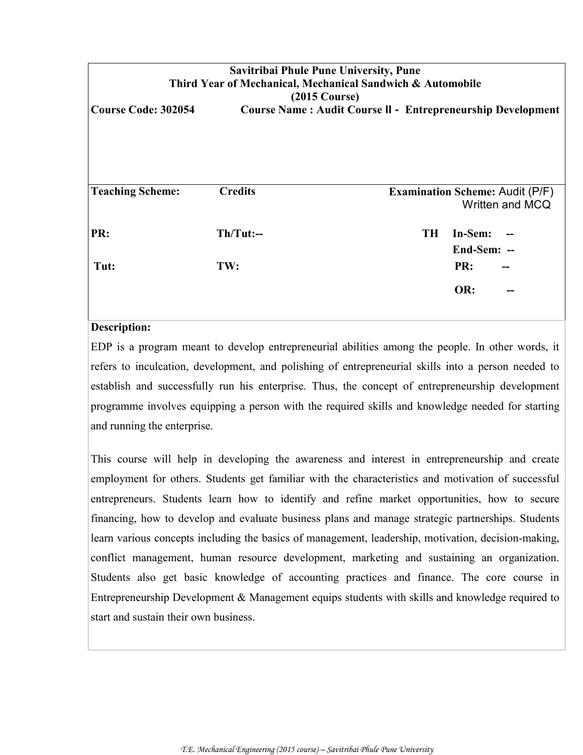| Savitribai Phule Pune University, Pune<br>Third Year of Mechanical, Mechanical Sandwich & Automobile<br>$(2015 \text{ Course})$ |                |           |                       |                                                           |  |  |
|---------------------------------------------------------------------------------------------------------------------------------|----------------|-----------|-----------------------|-----------------------------------------------------------|--|--|
| <b>Course Code: 302054</b><br><b>Course Name: Audit Course II - Entrepreneurship Development</b>                                |                |           |                       |                                                           |  |  |
|                                                                                                                                 |                |           |                       |                                                           |  |  |
| <b>Teaching Scheme:</b>                                                                                                         | <b>Credits</b> |           |                       | <b>Examination Scheme: Audit (P/F)</b><br>Written and MCQ |  |  |
| PR:                                                                                                                             | $Th/Tut:--$    | <b>TH</b> | In-Sem:<br>End-Sem: - |                                                           |  |  |
| Tut:                                                                                                                            | TW:            |           | PR:                   |                                                           |  |  |
|                                                                                                                                 |                |           | OR:                   |                                                           |  |  |

#### **Description:**

EDP is a program meant to develop entrepreneurial abilities among the people. In other words, it refers to inculcation, development, and polishing of entrepreneurial skills into a person needed to establish and successfully run his enterprise. Thus, the concept of entrepreneurship development programme involves equipping a person with the required skills and knowledge needed for starting and running the enterprise.

This course will help in developing the awareness and interest in entrepreneurship and create employment for others. Students get familiar with the characteristics and motivation of successful entrepreneurs. Students learn how to identify and refine market opportunities, how to secure financing, how to develop and evaluate business plans and manage strategic partnerships. Students learn various concepts including the basics of management, leadership, motivation, decision-making, conflict management, human resource development, marketing and sustaining an organization. Students also get basic knowledge of accounting practices and finance. The core course in Entrepreneurship Development & Management equips students with skills and knowledge required to start and sustain their own business.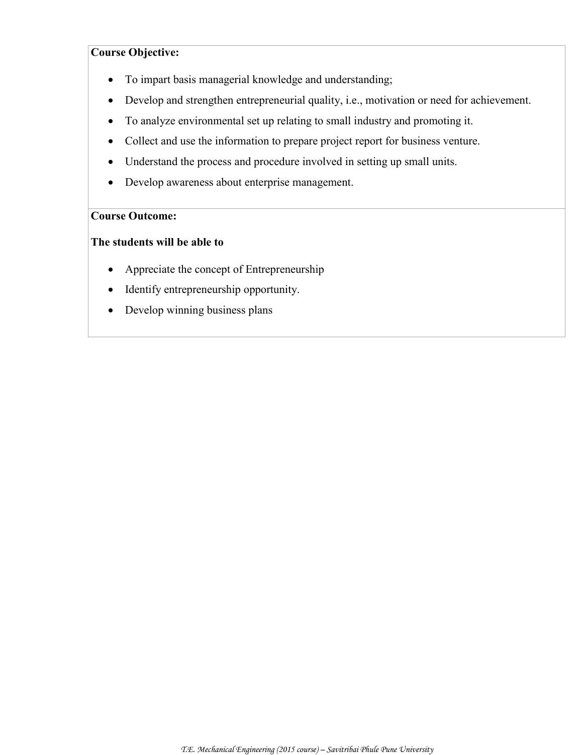#### **Course Objective:**

- To impart basis managerial knowledge and understanding;
- Develop and strengthen entrepreneurial quality, i.e., motivation or need for achievement.
- To analyze environmental set up relating to small industry and promoting it.
- Collect and use the information to prepare project report for business venture.
- Understand the process and procedure involved in setting up small units.
- Develop awareness about enterprise management.

#### **Course Outcome:**

#### **The students will be able to**

- Appreciate the concept of Entrepreneurship
- Identify entrepreneurship opportunity.
- Develop winning business plans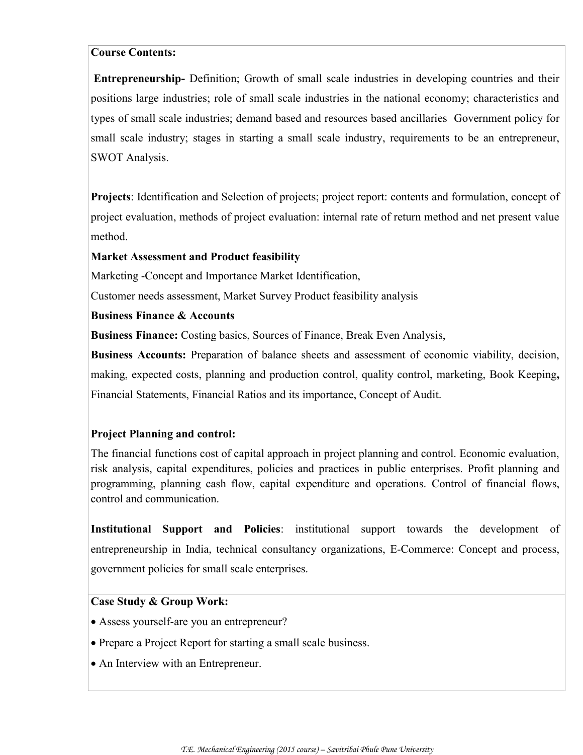#### **Course Contents:**

**Entrepreneurship-** Definition; Growth of small scale industries in developing countries and their positions large industries; role of small scale industries in the national economy; characteristics and types of small scale industries; demand based and resources based ancillaries Government policy for small scale industry; stages in starting a small scale industry, requirements to be an entrepreneur, SWOT Analysis.

**Projects**: Identification and Selection of projects; project report: contents and formulation, concept of project evaluation, methods of project evaluation: internal rate of return method and net present value method.

#### **Market Assessment and Product feasibility**

Marketing -Concept and Importance Market Identification,

Customer needs assessment, Market Survey Product feasibility analysis

#### **Business Finance & Accounts**

**Business Finance:** Costing basics, Sources of Finance, Break Even Analysis,

**Business Accounts:** Preparation of balance sheets and assessment of economic viability, decision, making, expected costs, planning and production control, quality control, marketing, Book Keeping**,**  Financial Statements, Financial Ratios and its importance, Concept of Audit.

#### **Project Planning and control:**

The financial functions cost of capital approach in project planning and control. Economic evaluation, risk analysis, capital expenditures, policies and practices in public enterprises. Profit planning and programming, planning cash flow, capital expenditure and operations. Control of financial flows, control and communication.

**Institutional Support and Policies**: institutional support towards the development of entrepreneurship in India, technical consultancy organizations, E-Commerce: Concept and process, government policies for small scale enterprises.

#### **Case Study & Group Work:**

- Assess yourself-are you an entrepreneur?
- Prepare a Project Report for starting a small scale business.
- An Interview with an Entrepreneur.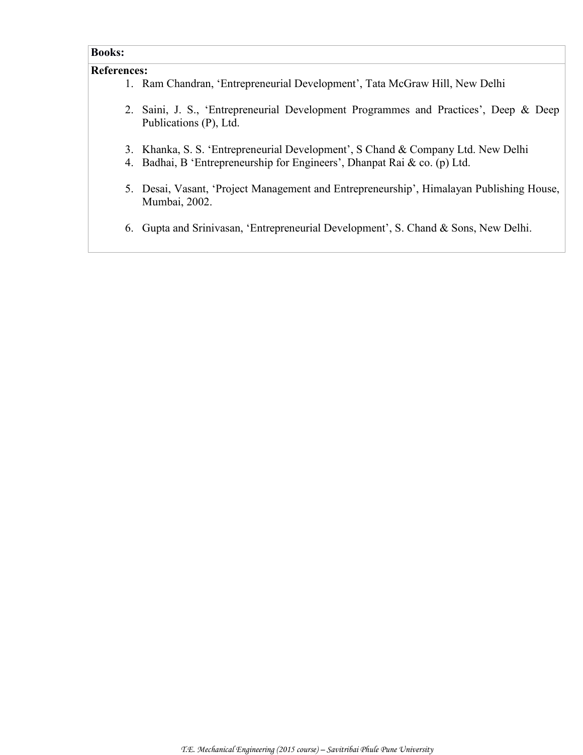# **Books:**

#### **References:**

- 1. Ram Chandran, 'Entrepreneurial Development', Tata McGraw Hill, New Delhi
- 2. Saini, J. S., 'Entrepreneurial Development Programmes and Practices', Deep & Deep Publications (P), Ltd.
- 3. Khanka, S. S. 'Entrepreneurial Development', S Chand & Company Ltd. New Delhi
- 4. Badhai, B 'Entrepreneurship for Engineers', Dhanpat Rai & co. (p) Ltd.
- 5. Desai, Vasant, 'Project Management and Entrepreneurship', Himalayan Publishing House, Mumbai, 2002.
- 6. Gupta and Srinivasan, 'Entrepreneurial Development', S. Chand & Sons, New Delhi.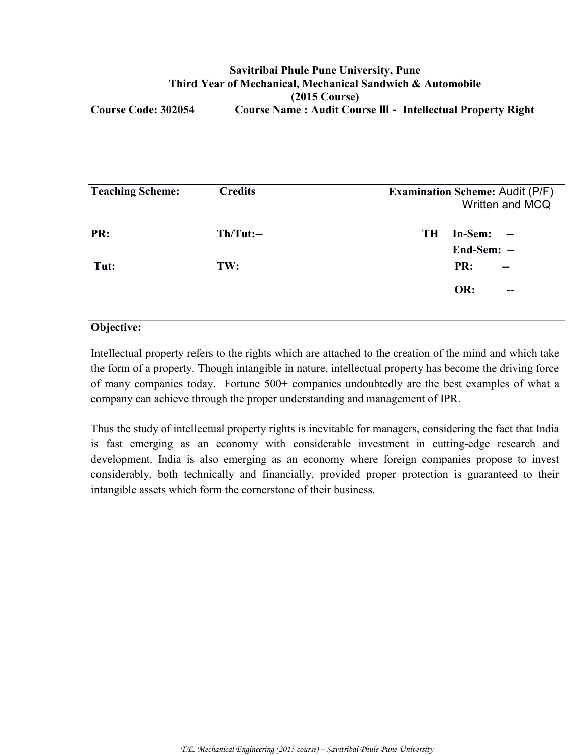| Savitribai Phule Pune University, Pune<br>Third Year of Mechanical, Mechanical Sandwich & Automobile<br>$(2015 \text{ Course})$<br><b>Course Code: 302054</b><br><b>Course Name: Audit Course III - Intellectual Property Right</b> |                    |           |                                                           |  |  |  |
|-------------------------------------------------------------------------------------------------------------------------------------------------------------------------------------------------------------------------------------|--------------------|-----------|-----------------------------------------------------------|--|--|--|
| <b>Teaching Scheme:</b>                                                                                                                                                                                                             | <b>Credits</b>     |           | <b>Examination Scheme: Audit (P/F)</b><br>Written and MCQ |  |  |  |
| PR:<br>Tut:                                                                                                                                                                                                                         | $Th/Tut:--$<br>TW: | <b>TH</b> | In-Sem:<br>End-Sem: --<br>PR:                             |  |  |  |
|                                                                                                                                                                                                                                     |                    |           | OR:<br>--                                                 |  |  |  |

# **Objective:**

Intellectual property refers to the rights which are attached to the creation of the mind and which take the form of a property. Though intangible in nature, intellectual property has become the driving force of many companies today. Fortune 500+ companies undoubtedly are the best examples of what a company can achieve through the proper understanding and management of IPR.

Thus the study of intellectual property rights is inevitable for managers, considering the fact that India is fast emerging as an economy with considerable investment in cutting-edge research and development. India is also emerging as an economy where foreign companies propose to invest considerably, both technically and financially, provided proper protection is guaranteed to their intangible assets which form the cornerstone of their business.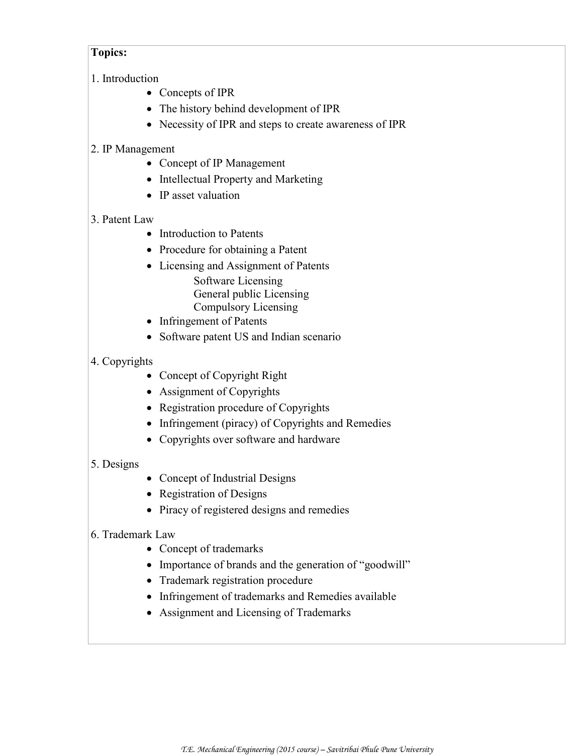#### **Topics:**

- 1. Introduction
	- Concepts of IPR
	- The history behind development of IPR
	- Necessity of IPR and steps to create awareness of IPR

### 2. IP Management

- Concept of IP Management
- Intellectual Property and Marketing
- IP asset valuation

### 3. Patent Law

- Introduction to Patents
- Procedure for obtaining a Patent
- Licensing and Assignment of Patents Software Licensing General public Licensing Compulsory Licensing
- Infringement of Patents
- Software patent US and Indian scenario

### 4. Copyrights

- Concept of Copyright Right
- Assignment of Copyrights
- Registration procedure of Copyrights
- Infringement (piracy) of Copyrights and Remedies
- Copyrights over software and hardware

# 5. Designs

- Concept of Industrial Designs
- Registration of Designs
- Piracy of registered designs and remedies

#### 6. Trademark Law

- Concept of trademarks
- Importance of brands and the generation of "goodwill"
- Trademark registration procedure
- Infringement of trademarks and Remedies available
- Assignment and Licensing of Trademarks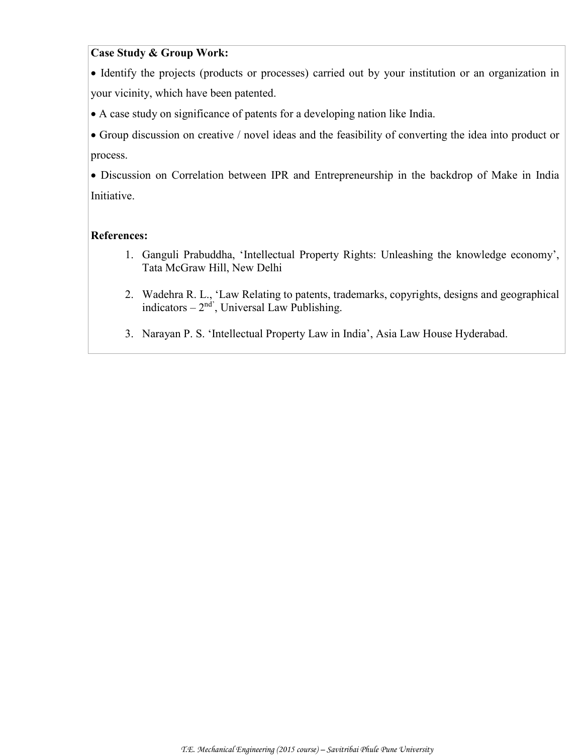#### **Case Study & Group Work:**

 Identify the projects (products or processes) carried out by your institution or an organization in your vicinity, which have been patented.

A case study on significance of patents for a developing nation like India.

 Group discussion on creative / novel ideas and the feasibility of converting the idea into product or process.

 Discussion on Correlation between IPR and Entrepreneurship in the backdrop of Make in India Initiative.

#### **References:**

- 1. Ganguli Prabuddha, 'Intellectual Property Rights: Unleashing the knowledge economy', Tata McGraw Hill, New Delhi
- 2. Wadehra R. L., 'Law Relating to patents, trademarks, copyrights, designs and geographical indicators  $-2<sup>nd</sup>$ , Universal Law Publishing.
- 3. Narayan P. S. 'Intellectual Property Law in India', Asia Law House Hyderabad.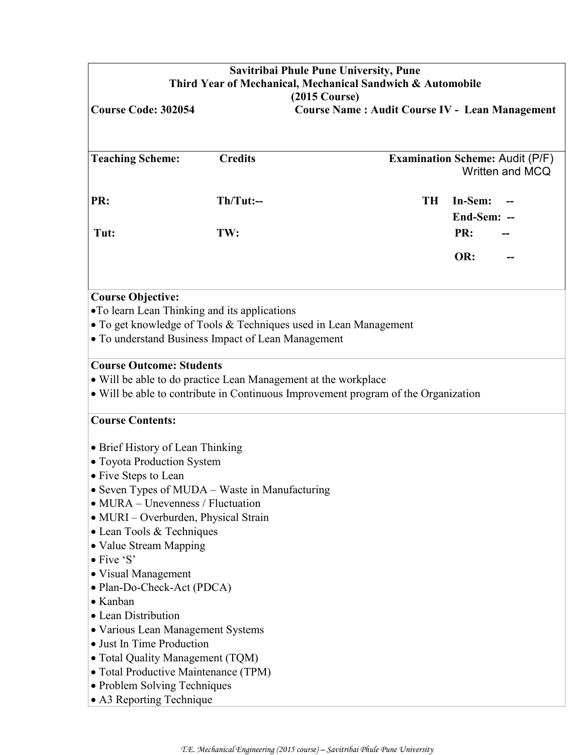| Savitribai Phule Pune University, Pune<br>Third Year of Mechanical, Mechanical Sandwich & Automobile<br>$(2015 \text{ Course})$                                                                                                                                                                            |                                                                             |                                                       |           |                        |  |  |
|------------------------------------------------------------------------------------------------------------------------------------------------------------------------------------------------------------------------------------------------------------------------------------------------------------|-----------------------------------------------------------------------------|-------------------------------------------------------|-----------|------------------------|--|--|
| <b>Course Code: 302054</b>                                                                                                                                                                                                                                                                                 |                                                                             | <b>Course Name: Audit Course IV - Lean Management</b> |           |                        |  |  |
|                                                                                                                                                                                                                                                                                                            |                                                                             |                                                       |           |                        |  |  |
| <b>Teaching Scheme:</b>                                                                                                                                                                                                                                                                                    | <b>Credits</b><br><b>Examination Scheme: Audit (P/F)</b><br>Written and MCQ |                                                       |           |                        |  |  |
| PR:                                                                                                                                                                                                                                                                                                        | $Th/Tut$ :--                                                                |                                                       | <b>TH</b> | In-Sem:<br>End-Sem: -- |  |  |
| Tut:                                                                                                                                                                                                                                                                                                       | TW:                                                                         |                                                       |           | PR:                    |  |  |
|                                                                                                                                                                                                                                                                                                            |                                                                             |                                                       |           | OR:                    |  |  |
| <b>Course Objective:</b><br>•To learn Lean Thinking and its applications<br>• To get knowledge of Tools & Techniques used in Lean Management<br>• To understand Business Impact of Lean Management                                                                                                         |                                                                             |                                                       |           |                        |  |  |
| <b>Course Outcome: Students</b><br>• Will be able to do practice Lean Management at the workplace<br>• Will be able to contribute in Continuous Improvement program of the Organization                                                                                                                    |                                                                             |                                                       |           |                        |  |  |
| <b>Course Contents:</b>                                                                                                                                                                                                                                                                                    |                                                                             |                                                       |           |                        |  |  |
| • Brief History of Lean Thinking<br>• Toyota Production System<br>• Five Steps to Lean<br>• Seven Types of MUDA - Waste in Manufacturing<br>$\bullet$ MURA – Unevenness / Fluctuation<br>• MURI – Overburden, Physical Strain<br>• Lean Tools & Techniques<br>• Value Stream Mapping<br>$\bullet$ Five 'S' |                                                                             |                                                       |           |                        |  |  |
| • Visual Management<br>• Plan-Do-Check-Act (PDCA)<br>• Kanban<br>• Lean Distribution                                                                                                                                                                                                                       |                                                                             |                                                       |           |                        |  |  |
| • Various Lean Management Systems<br>• Just In Time Production<br>• Total Quality Management (TQM)<br>• Total Productive Maintenance (TPM)<br>• Problem Solving Techniques<br>• A3 Reporting Technique                                                                                                     |                                                                             |                                                       |           |                        |  |  |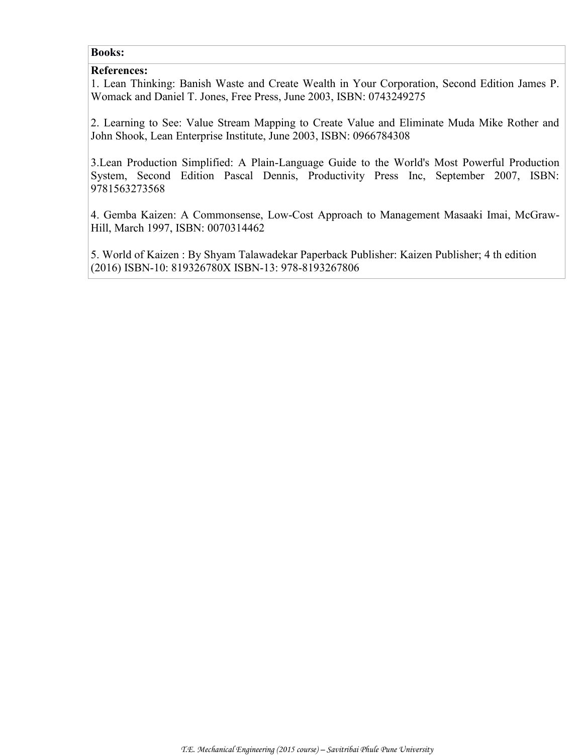#### **Books:**

#### **References:**

1. Lean Thinking: Banish Waste and Create Wealth in Your Corporation, Second Edition James P. Womack and Daniel T. Jones, Free Press, June 2003, ISBN: 0743249275

2. Learning to See: Value Stream Mapping to Create Value and Eliminate Muda Mike Rother and John Shook, Lean Enterprise Institute, June 2003, ISBN: 0966784308

3.Lean Production Simplified: A Plain-Language Guide to the World's Most Powerful Production System, Second Edition Pascal Dennis, Productivity Press Inc, September 2007, ISBN: 9781563273568

4. Gemba Kaizen: A Commonsense, Low-Cost Approach to Management Masaaki Imai, McGraw-Hill, March 1997, ISBN: 0070314462

5. World of Kaizen : By Shyam Talawadekar Paperback Publisher: Kaizen Publisher; 4 th edition (2016) ISBN-10: 819326780X ISBN-13: 978-8193267806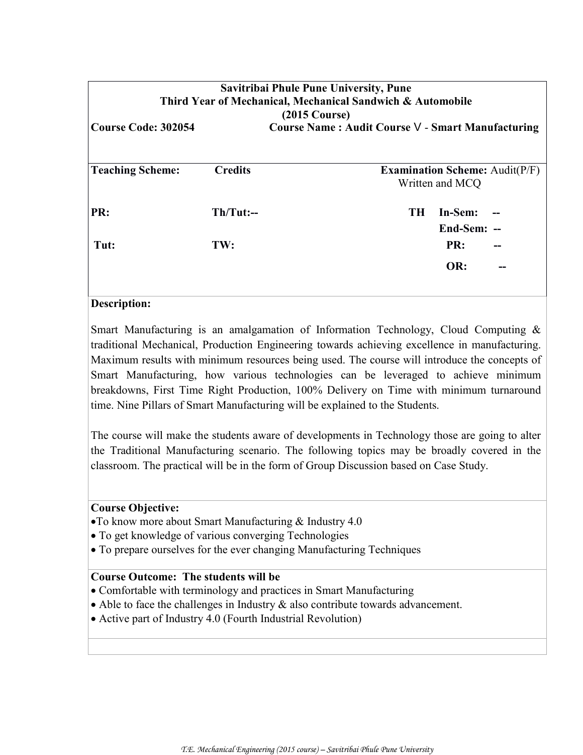| Savitribai Phule Pune University, Pune<br>Third Year of Mechanical, Mechanical Sandwich & Automobile<br>$(2015 \text{ Course})$ |                |                                                                   |  |  |  |
|---------------------------------------------------------------------------------------------------------------------------------|----------------|-------------------------------------------------------------------|--|--|--|
| <b>Course Code: 302054</b><br>Course Name: Audit Course V - Smart Manufacturing                                                 |                |                                                                   |  |  |  |
| <b>Teaching Scheme:</b>                                                                                                         | <b>Credits</b> | <b>Examination Scheme:</b> $\text{Audit}(P/F)$<br>Written and MCQ |  |  |  |
| PR:                                                                                                                             | $Th/Tut:--$    | TH -<br>In-Sem:<br>End-Sem: --                                    |  |  |  |
| Tut:                                                                                                                            | TW:            | PR:<br>OR:                                                        |  |  |  |

#### **Description:**

Smart Manufacturing is an amalgamation of Information Technology, Cloud Computing & traditional Mechanical, Production Engineering towards achieving excellence in manufacturing. Maximum results with minimum resources being used. The course will introduce the concepts of Smart Manufacturing, how various technologies can be leveraged to achieve minimum breakdowns, First Time Right Production, 100% Delivery on Time with minimum turnaround time. Nine Pillars of Smart Manufacturing will be explained to the Students.

The course will make the students aware of developments in Technology those are going to alter the Traditional Manufacturing scenario. The following topics may be broadly covered in the classroom. The practical will be in the form of Group Discussion based on Case Study.

#### **Course Objective:**

- To know more about Smart Manufacturing & Industry 4.0
- To get knowledge of various converging Technologies
- To prepare ourselves for the ever changing Manufacturing Techniques

#### **Course Outcome: The students will be**

- Comfortable with terminology and practices in Smart Manufacturing
- Able to face the challenges in Industry & also contribute towards advancement.
- Active part of Industry 4.0 (Fourth Industrial Revolution)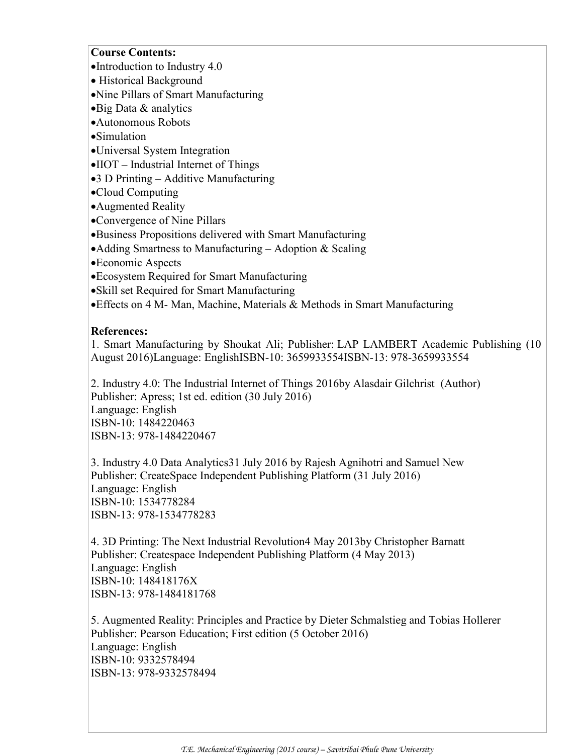#### **Course Contents:**

- Introduction to Industry 4.0
- Historical Background
- Nine Pillars of Smart Manufacturing
- Big Data & analytics
- Autonomous Robots
- Simulation
- Universal System Integration
- IIOT Industrial Internet of Things
- 3 D Printing Additive Manufacturing
- Cloud Computing
- Augmented Reality
- Convergence of Nine Pillars
- Business Propositions delivered with Smart Manufacturing
- Adding Smartness to Manufacturing Adoption  $&$  Scaling
- Economic Aspects
- Ecosystem Required for Smart Manufacturing
- Skill set Required for Smart Manufacturing
- Effects on 4 M- Man, Machine, Materials & Methods in Smart Manufacturing

#### **References:**

1. Smart Manufacturing by Shoukat Ali; Publisher: LAP LAMBERT Academic Publishing (10 August 2016)Language: EnglishISBN-10: 3659933554ISBN-13: 978-3659933554

2. Industry 4.0: The Industrial Internet of Things 2016by [Alasdair Gilchrist](http://www.amazon.in/Alasdair-Gilchrist/e/B00D05V4U2/ref=dp_byline_cont_book_1) (Author) Publisher: Apress; 1st ed. edition (30 July 2016) Language: English ISBN-10: 1484220463 ISBN-13: [978-1484220467](http://www.amazon.in/Industry-Data-Analytics-Rajesh-Agnihotri/dp/1534778284/ref=sr_1_6?s=books&ie=UTF8&qid=1475429777&sr=1-6&keywords=Industry+4.0)

[3. Industry 4.0 Data Analytics3](http://www.amazon.in/Industry-Data-Analytics-Rajesh-Agnihotri/dp/1534778284/ref=sr_1_6?s=books&ie=UTF8&qid=1475429777&sr=1-6&keywords=Industry+4.0)1 July 2016 by Rajesh Agnihotri and Samuel New Publisher: CreateSpace Independent Publishing Platform (31 July 2016) Language: English ISBN-10: 1534778284 ISBN-13: [978-1534778283](http://www.amazon.in/3D-Printing-Next-Industrial-Revolution/dp/148418176X/ref=sr_1_9?s=books&ie=UTF8&qid=1475429977&sr=1-9&keywords=3d+printing)

[4. 3D Printing: The Next Industrial Revolution4](http://www.amazon.in/3D-Printing-Next-Industrial-Revolution/dp/148418176X/ref=sr_1_9?s=books&ie=UTF8&qid=1475429977&sr=1-9&keywords=3d+printing) May 2013by [Christopher Barnatt](http://www.amazon.in/Christopher-Barnatt/e/B001KE279C/ref=sr_ntt_srch_lnk_9?qid=1475429977&sr=1-9) Publisher: Createspace Independent Publishing Platform (4 May 2013) Language: English ISBN-10: 148418176X ISBN-13: 978-1484181768

[5. Augmented Reality: Principles and Practice](http://www.amazon.in/Augmented-Reality-Principles-Dieter-Schmalstieg/dp/9332578494/ref=sr_1_1?s=books&ie=UTF8&qid=1475430125&sr=1-1&keywords=augmented+reality) by Dieter Schmalstieg and Tobias Hollerer Publisher: Pearson Education; First edition (5 October 2016) Language: English ISBN-10: 9332578494 ISBN-13: 978-9332578494